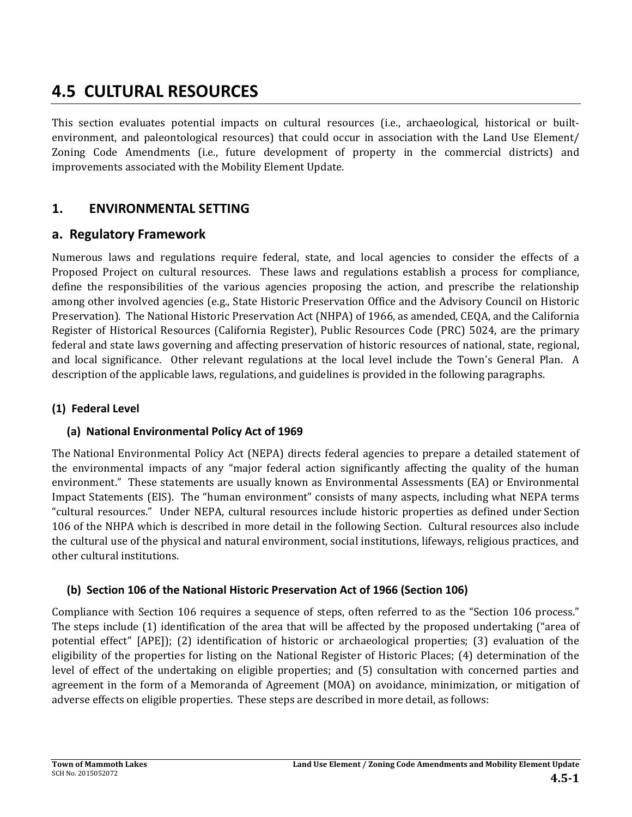# **4.5 CULTURAL RESOURCES**

This section evaluates potential impacts on cultural resources (i.e., archaeological, historical or builtenvironment, and paleontological resources) that could occur in association with the Land Use Element/ Zoning Code Amendments (i.e., future development of property in the commercial districts) and improvements associated with the Mobility Element Update.

# **1. ENVIRONMENTAL SETTING**

# **a. Regulatory Framework**

Numerous laws and regulations require federal, state, and local agencies to consider the effects of a Proposed Project on cultural resources. These laws and regulations establish a process for compliance, define the responsibilities of the various agencies proposing the action, and prescribe the relationship among other involved agencies (e.g., State Historic Preservation Office and the Advisory Council on Historic Preservation). The National Historic Preservation Act (NHPA) of 1966, as amended, CEQA, and the California Register of Historical Resources (California Register), Public Resources Code (PRC) 5024, are the primary federal and state laws governing and affecting preservation of historic resources of national, state, regional, and local significance. Other relevant regulations at the local level include the Town's General Plan. A description of the applicable laws, regulations, and guidelines is provided in the following paragraphs.

# **(1) Federal Level**

# **(a) National Environmental Policy Act of 1969**

The National Environmental Policy Act (NEPA) directs federal agencies to prepare a detailed statement of the environmental impacts of any "major federal action significantly affecting the quality of the human environment." These statements are usually known as Environmental Assessments (EA) or Environmental Impact Statements (EIS). The "human environment" consists of many aspects, including what NEPA terms "cultural resources." Under NEPA, cultural resources include historic properties as defined under Section 106 of the NHPA which is described in more detail in the following Section. Cultural resources also include the cultural use of the physical and natural environment, social institutions, lifeways, religious practices, and other cultural institutions.

# **(b) Section 106 of the National Historic Preservation Act of 1966 (Section 106)**

Compliance with Section 106 requires a sequence of steps, often referred to as the "Section 106 process." The steps include  $(1)$  identification of the area that will be affected by the proposed undertaking ("area of potential effect"  $[APE]$ ; (2) identification of historic or archaeological properties; (3) evaluation of the eligibility of the properties for listing on the National Register of Historic Places; (4) determination of the level of effect of the undertaking on eligible properties; and (5) consultation with concerned parties and agreement in the form of a Memoranda of Agreement (MOA) on avoidance, minimization, or mitigation of adverse effects on eligible properties. These steps are described in more detail, as follows: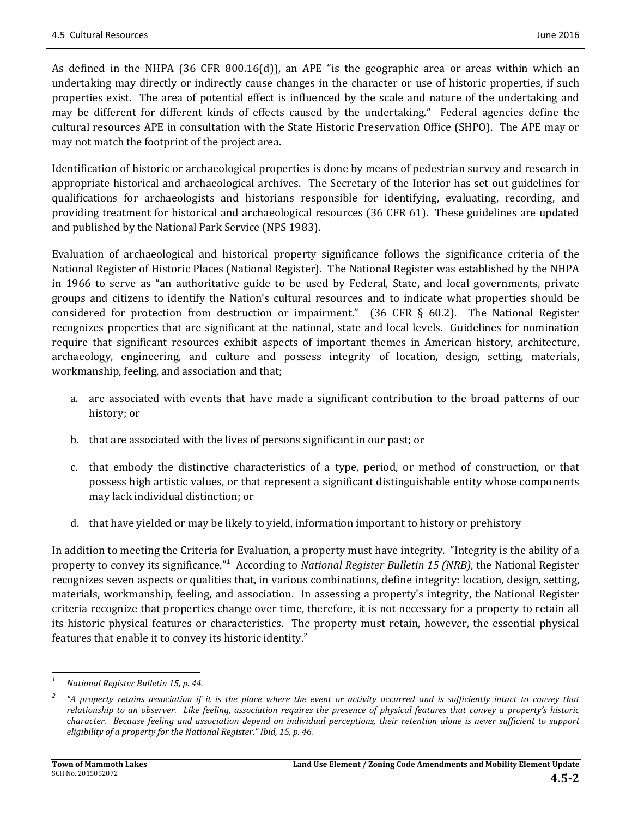As defined in the NHPA  $(36 \text{ CFR } 800.16(d))$ , an APE "is the geographic area or areas within which an undertaking may directly or indirectly cause changes in the character or use of historic properties, if such properties exist. The area of potential effect is influenced by the scale and nature of the undertaking and may be different for different kinds of effects caused by the undertaking." Federal agencies define the cultural resources APE in consultation with the State Historic Preservation Office (SHPO). The APE may or may not match the footprint of the project area.

Identification of historic or archaeological properties is done by means of pedestrian survey and research in appropriate historical and archaeological archives. The Secretary of the Interior has set out guidelines for qualifications for archaeologists and historians responsible for identifying, evaluating, recording, and providing treatment for historical and archaeological resources (36 CFR 61). These guidelines are updated and published by the National Park Service (NPS 1983).

Evaluation of archaeological and historical property significance follows the significance criteria of the National Register of Historic Places (National Register). The National Register was established by the NHPA in 1966 to serve as "an authoritative guide to be used by Federal, State, and local governments, private groups and citizens to identify the Nation's cultural resources and to indicate what properties should be considered for protection from destruction or impairment." (36 CFR  $\S$  60.2). The National Register recognizes properties that are significant at the national, state and local levels. Guidelines for nomination require that significant resources exhibit aspects of important themes in American history, architecture, archaeology, engineering, and culture and possess integrity of location, design, setting, materials, workmanship, feeling, and association and that;

- a. are associated with events that have made a significant contribution to the broad patterns of our history; or
- b. that are associated with the lives of persons significant in our past; or
- c. that embody the distinctive characteristics of a type, period, or method of construction, or that possess high artistic values, or that represent a significant distinguishable entity whose components may lack individual distinction; or
- d. that have vielded or may be likely to vield, information important to history or prehistory

In addition to meeting the Criteria for Evaluation, a property must have integrity. "Integrity is the ability of a property to convey its significance."<sup>1</sup> According to National Register Bulletin 15 (NRB), the National Register recognizes seven aspects or qualities that, in various combinations, define integrity: location, design, setting, materials, workmanship, feeling, and association. In assessing a property's integrity, the National Register criteria recognize that properties change over time, therefore, it is not necessary for a property to retain all its historic physical features or characteristics. The property must retain, however, the essential physical features that enable it to convey its historic identity.<sup>2</sup>

<sup>&</sup>lt;u> 1989 - Johann Stein, fransk politik (d. 1989)</u> *1 National Register Bulletin 15, p. 44.*

*<sup>2</sup>* "A property retains association if it is the place where the event or activity occurred and is sufficiently intact to convey that relationship to an observer. Like feeling, association requires the presence of physical features that convey a property's historic character. Because feeling and association depend on individual perceptions, their retention alone is never sufficient to support *eligibility of a property for the National Register." Ibid, 15, p. 46.*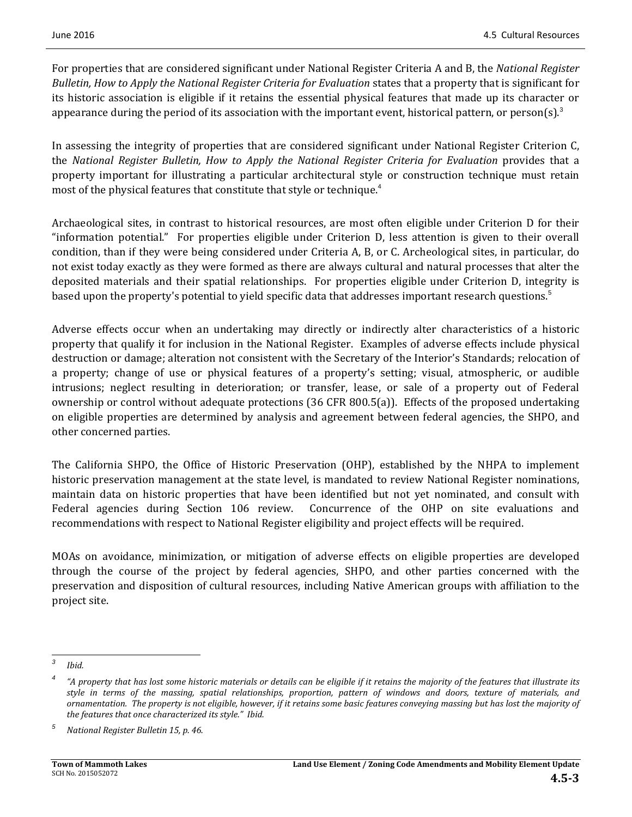For properties that are considered significant under National Register Criteria A and B, the *National Register Bulletin, How to Apply the National Register Criteria for Evaluation* states that a property that is significant for its historic association is eligible if it retains the essential physical features that made up its character or appearance during the period of its association with the important event, historical pattern, or person(s).<sup>3</sup>

In assessing the integrity of properties that are considered significant under National Register Criterion C, the *National Register Bulletin, How to Apply the National Register Criteria for Evaluation* provides that a property important for illustrating a particular architectural style or construction technique must retain most of the physical features that constitute that style or technique.<sup>4</sup>

Archaeological sites, in contrast to historical resources, are most often eligible under Criterion D for their "information potential." For properties eligible under Criterion D, less attention is given to their overall condition, than if they were being considered under Criteria A, B, or C. Archeological sites, in particular, do not exist today exactly as they were formed as there are always cultural and natural processes that alter the deposited materials and their spatial relationships. For properties eligible under Criterion D, integrity is based upon the property's potential to yield specific data that addresses important research questions.<sup>5</sup>

Adverse effects occur when an undertaking may directly or indirectly alter characteristics of a historic property that qualify it for inclusion in the National Register. Examples of adverse effects include physical destruction or damage; alteration not consistent with the Secretary of the Interior's Standards; relocation of a property; change of use or physical features of a property's setting; visual, atmospheric, or audible intrusions; neglect resulting in deterioration; or transfer, lease, or sale of a property out of Federal ownership or control without adequate protections  $(36$  CFR 800.5(a)). Effects of the proposed undertaking on eligible properties are determined by analysis and agreement between federal agencies, the SHPO, and other concerned parties.

The California SHPO, the Office of Historic Preservation (OHP), established by the NHPA to implement historic preservation management at the state level, is mandated to review National Register nominations, maintain data on historic properties that have been identified but not yet nominated, and consult with Federal agencies during Section 106 review. Concurrence of the OHP on site evaluations and recommendations with respect to National Register eligibility and project effects will be required.

MOAs on avoidance, minimization, or mitigation of adverse effects on eligible properties are developed through the course of the project by federal agencies, SHPO, and other parties concerned with the preservation and disposition of cultural resources, including Native American groups with affiliation to the project site.

 *<sup>3</sup> Ibid.*

<sup>&</sup>quot;A property that has lost some historic materials or details can be eligible if it retains the majority of the features that illustrate its style in terms of the massing, spatial relationships, proportion, pattern of windows and doors, texture of materials, and ornamentation. The property is not eligible, however, if it retains some basic features conveying massing but has lost the majority of *the features that once characterized its style." Ibid.*

*<sup>5</sup> National Register Bulletin 15, p. 46.*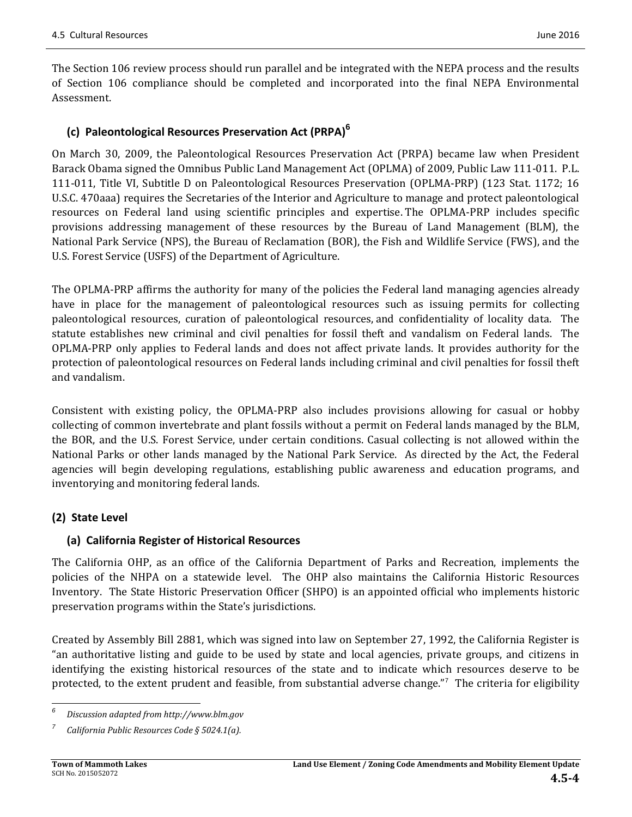The Section 106 review process should run parallel and be integrated with the NEPA process and the results of Section 106 compliance should be completed and incorporated into the final NEPA Environmental Assessment. 

## **(c) Paleontological Resources Preservation Act (PRPA)<sup>6</sup>**

On March 30, 2009, the Paleontological Resources Preservation Act (PRPA) became law when President Barack Obama signed the Omnibus Public Land Management Act (OPLMA) of 2009, Public Law 111-011. P.L. 111-011, Title VI, Subtitle D on Paleontological Resources Preservation (OPLMA-PRP) (123 Stat. 1172; 16 U.S.C. 470aaa) requires the Secretaries of the Interior and Agriculture to manage and protect paleontological resources on Federal land using scientific principles and expertise. The OPLMA-PRP includes specific provisions addressing management of these resources by the Bureau of Land Management (BLM), the National Park Service (NPS), the Bureau of Reclamation (BOR), the Fish and Wildlife Service (FWS), and the U.S. Forest Service (USFS) of the Department of Agriculture.

The OPLMA-PRP affirms the authority for many of the policies the Federal land managing agencies already have in place for the management of paleontological resources such as issuing permits for collecting paleontological resources, curation of paleontological resources, and confidentiality of locality data. The statute establishes new criminal and civil penalties for fossil theft and vandalism on Federal lands. The OPLMA-PRP only applies to Federal lands and does not affect private lands. It provides authority for the protection of paleontological resources on Federal lands including criminal and civil penalties for fossil theft and vandalism.

Consistent with existing policy, the OPLMA-PRP also includes provisions allowing for casual or hobby collecting of common invertebrate and plant fossils without a permit on Federal lands managed by the BLM, the BOR, and the U.S. Forest Service, under certain conditions. Casual collecting is not allowed within the National Parks or other lands managed by the National Park Service. As directed by the Act, the Federal agencies will begin developing regulations, establishing public awareness and education programs, and inventorying and monitoring federal lands.

## **(2) State Level**

### **(a) California Register of Historical Resources**

The California OHP, as an office of the California Department of Parks and Recreation, implements the policies of the NHPA on a statewide level. The OHP also maintains the California Historic Resources Inventory. The State Historic Preservation Officer (SHPO) is an appointed official who implements historic preservation programs within the State's jurisdictions.

Created by Assembly Bill 2881, which was signed into law on September 27, 1992, the California Register is "an authoritative listing and guide to be used by state and local agencies, private groups, and citizens in identifying the existing historical resources of the state and to indicate which resources deserve to be protected, to the extent prudent and feasible, from substantial adverse change."<sup>7</sup> The criteria for eligibility

 *6 Discussion adapted from http://www.blm.gov* 

*<sup>7</sup>California Public Resources Code § 5024.1(a).*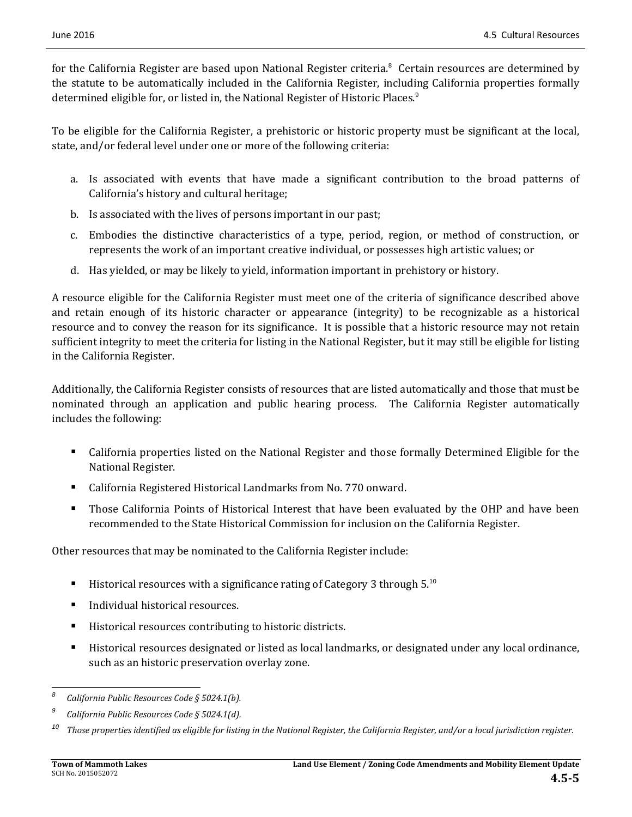for the California Register are based upon National Register criteria.<sup>8</sup> Certain resources are determined by the statute to be automatically included in the California Register, including California properties formally determined eligible for, or listed in, the National Register of Historic Places.<sup>9</sup>

To be eligible for the California Register, a prehistoric or historic property must be significant at the local, state, and/or federal level under one or more of the following criteria:

- a. Is associated with events that have made a significant contribution to the broad patterns of California's history and cultural heritage;
- b. Is associated with the lives of persons important in our past;
- c. Embodies the distinctive characteristics of a type, period, region, or method of construction, or represents the work of an important creative individual, or possesses high artistic values; or
- d. Has yielded, or may be likely to yield, information important in prehistory or history.

A resource eligible for the California Register must meet one of the criteria of significance described above and retain enough of its historic character or appearance (integrity) to be recognizable as a historical resource and to convey the reason for its significance. It is possible that a historic resource may not retain sufficient integrity to meet the criteria for listing in the National Register, but it may still be eligible for listing in the California Register.

Additionally, the California Register consists of resources that are listed automatically and those that must be nominated through an application and public hearing process. The California Register automatically includes the following:

- California properties listed on the National Register and those formally Determined Eligible for the National Register.
- California Registered Historical Landmarks from No. 770 onward.
- **Those California Points of Historical Interest that have been evaluated by the OHP and have been** recommended to the State Historical Commission for inclusion on the California Register.

Other resources that may be nominated to the California Register include:

- **Historical resources with a significance rating of Category 3 through 5.**<sup>10</sup>
- Individual historical resources.
- Historical resources contributing to historic districts.
- Historical resources designated or listed as local landmarks, or designated under any local ordinance, such as an historic preservation overlay zone.

<sup>&</sup>lt;u> 1989 - Johann Stein, fransk politik (d. 1989)</u> *<sup>8</sup>California Public Resources Code § 5024.1(b).*

*<sup>9</sup>California Public Resources Code § 5024.1(d).*

 $^{10}$  Those properties identified as eligible for listing in the National Register, the California Register, and/or a local jurisdiction register.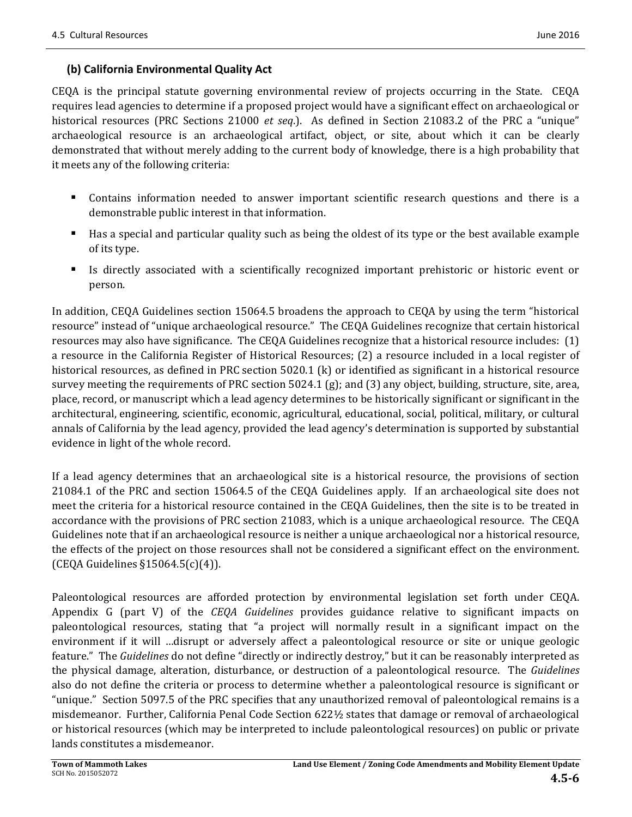### **(b) California Environmental Quality Act**

 $CEQA$  is the principal statute governing environmental review of projects occurring in the State.  $CEQA$ requires lead agencies to determine if a proposed project would have a significant effect on archaeological or historical resources (PRC Sections 21000 *et seq.*). As defined in Section 21083.2 of the PRC a "unique" archaeological resource is an archaeological artifact, object, or site, about which it can be clearly demonstrated that without merely adding to the current body of knowledge, there is a high probability that it meets any of the following criteria:

- Contains information needed to answer important scientific research questions and there is a demonstrable public interest in that information.
- Has a special and particular quality such as being the oldest of its type or the best available example of its type.
- Is directly associated with a scientifically recognized important prehistoric or historic event or person.

In addition, CEQA Guidelines section 15064.5 broadens the approach to CEQA by using the term "historical resource" instead of "unique archaeological resource." The CEQA Guidelines recognize that certain historical resources may also have significance. The CEQA Guidelines recognize that a historical resource includes:  $(1)$ a resource in the California Register of Historical Resources; (2) a resource included in a local register of historical resources, as defined in PRC section  $5020.1$  (k) or identified as significant in a historical resource survey meeting the requirements of PRC section  $5024.1$  (g); and (3) any object, building, structure, site, area, place, record, or manuscript which a lead agency determines to be historically significant or significant in the architectural, engineering, scientific, economic, agricultural, educational, social, political, military, or cultural annals of California by the lead agency, provided the lead agency's determination is supported by substantial evidence in light of the whole record.

If a lead agency determines that an archaeological site is a historical resource, the provisions of section  $21084.1$  of the PRC and section 15064.5 of the CEQA Guidelines apply. If an archaeological site does not meet the criteria for a historical resource contained in the CEQA Guidelines, then the site is to be treated in accordance with the provisions of PRC section 21083, which is a unique archaeological resource. The CEQA Guidelines note that if an archaeological resource is neither a unique archaeological nor a historical resource, the effects of the project on those resources shall not be considered a significant effect on the environment. (CEQA Guidelines  $\S15064.5(c)(4)$ ).

Paleontological resources are afforded protection by environmental legislation set forth under CEQA. Appendix G (part V) of the *CEQA Guidelines* provides guidance relative to significant impacts on paleontological resources, stating that "a project will normally result in a significant impact on the environment if it will …disrupt or adversely affect a paleontological resource or site or unique geologic feature." The *Guidelines* do not define "directly or indirectly destroy," but it can be reasonably interpreted as the physical damage, alteration, disturbance, or destruction of a paleontological resource. The *Guidelines* also do not define the criteria or process to determine whether a paleontological resource is significant or "unique." Section 5097.5 of the PRC specifies that any unauthorized removal of paleontological remains is a misdemeanor. Further, California Penal Code Section 622½ states that damage or removal of archaeological or historical resources (which may be interpreted to include paleontological resources) on public or private lands constitutes a misdemeanor.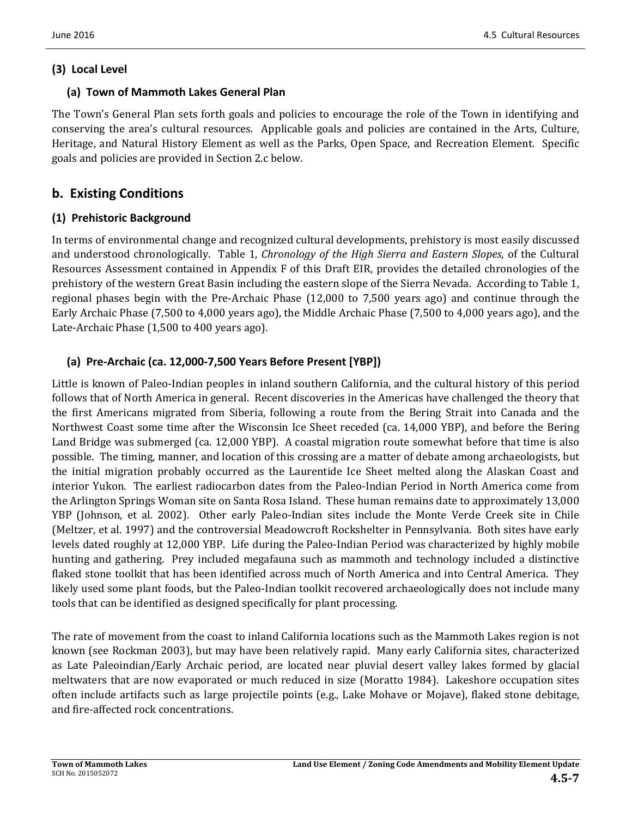### **(3) Local Level**

### **(a) Town of Mammoth Lakes General Plan**

The Town's General Plan sets forth goals and policies to encourage the role of the Town in identifying and conserving the area's cultural resources. Applicable goals and policies are contained in the Arts, Culture, Heritage, and Natural History Element as well as the Parks, Open Space, and Recreation Element. Specific goals and policies are provided in Section 2.c below.

# **b. Existing Conditions**

### **(1) Prehistoric Background**

In terms of environmental change and recognized cultural developments, prehistory is most easily discussed and understood chronologically. Table 1, *Chronology of the High Sierra and Eastern Slopes*, of the Cultural Resources Assessment contained in Appendix  $F$  of this Draft EIR, provides the detailed chronologies of the prehistory of the western Great Basin including the eastern slope of the Sierra Nevada. According to Table 1, regional phases begin with the Pre-Archaic Phase  $(12,000 \text{ to } 7,500 \text{ years ago})$  and continue through the Early Archaic Phase (7,500 to 4,000 years ago), the Middle Archaic Phase (7,500 to 4,000 years ago), and the Late-Archaic Phase (1,500 to 400 years ago).

# **(a) Pre‐Archaic (ca. 12,000‐7,500 Years Before Present [YBP])**

Little is known of Paleo-Indian peoples in inland southern California, and the cultural history of this period follows that of North America in general. Recent discoveries in the Americas have challenged the theory that the first Americans migrated from Siberia, following a route from the Bering Strait into Canada and the Northwest Coast some time after the Wisconsin Ice Sheet receded (ca. 14,000 YBP), and before the Bering Land Bridge was submerged (ca. 12,000 YBP). A coastal migration route somewhat before that time is also possible. The timing, manner, and location of this crossing are a matter of debate among archaeologists, but the initial migration probably occurred as the Laurentide Ice Sheet melted along the Alaskan Coast and interior Yukon. The earliest radiocarbon dates from the Paleo-Indian Period in North America come from the Arlington Springs Woman site on Santa Rosa Island. These human remains date to approximately 13,000 YBP (Johnson, et al. 2002). Other early Paleo-Indian sites include the Monte Verde Creek site in Chile (Meltzer, et al. 1997) and the controversial Meadowcroft Rockshelter in Pennsylvania. Both sites have early levels dated roughly at 12,000 YBP. Life during the Paleo-Indian Period was characterized by highly mobile hunting and gathering. Prey included megafauna such as mammoth and technology included a distinctive flaked stone toolkit that has been identified across much of North America and into Central America. They likely used some plant foods, but the Paleo-Indian toolkit recovered archaeologically does not include many tools that can be identified as designed specifically for plant processing.

The rate of movement from the coast to inland California locations such as the Mammoth Lakes region is not known (see Rockman 2003), but may have been relatively rapid. Many early California sites, characterized as Late Paleoindian/Early Archaic period, are located near pluvial desert valley lakes formed by glacial meltwaters that are now evaporated or much reduced in size (Moratto 1984). Lakeshore occupation sites often include artifacts such as large projectile points (e.g., Lake Mohave or Mojave), flaked stone debitage, and fire-affected rock concentrations.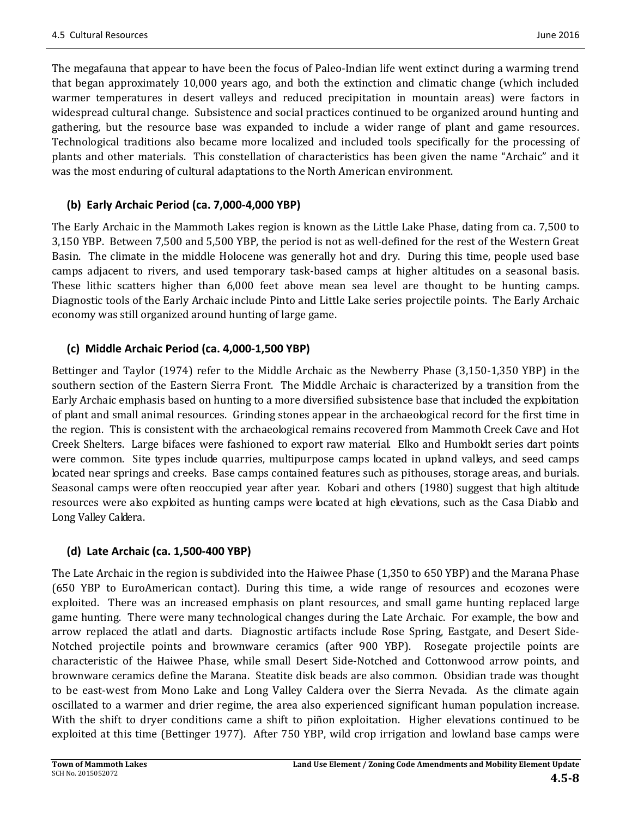The megafauna that appear to have been the focus of Paleo-Indian life went extinct during a warming trend that began approximately 10,000 years ago, and both the extinction and climatic change (which included warmer temperatures in desert valleys and reduced precipitation in mountain areas) were factors in widespread cultural change. Subsistence and social practices continued to be organized around hunting and gathering, but the resource base was expanded to include a wider range of plant and game resources. Technological traditions also became more localized and included tools specifically for the processing of plants and other materials. This constellation of characteristics has been given the name "Archaic" and it was the most enduring of cultural adaptations to the North American environment.

# **(b) Early Archaic Period (ca. 7,000‐4,000 YBP)**

The Early Archaic in the Mammoth Lakes region is known as the Little Lake Phase, dating from ca. 7,500 to 3,150 YBP. Between 7,500 and 5,500 YBP, the period is not as well-defined for the rest of the Western Great Basin. The climate in the middle Holocene was generally hot and dry. During this time, people used base camps adjacent to rivers, and used temporary task-based camps at higher altitudes on a seasonal basis. These lithic scatters higher than 6,000 feet above mean sea level are thought to be hunting camps. Diagnostic tools of the Early Archaic include Pinto and Little Lake series projectile points. The Early Archaic economy was still organized around hunting of large game.

# **(c) Middle Archaic Period (ca. 4,000‐1,500 YBP)**

Bettinger and Taylor (1974) refer to the Middle Archaic as the Newberry Phase (3,150-1,350 YBP) in the southern section of the Eastern Sierra Front. The Middle Archaic is characterized by a transition from the Early Archaic emphasis based on hunting to a more diversified subsistence base that included the exploitation of plant and small animal resources. Grinding stones appear in the archaeological record for the first time in the region. This is consistent with the archaeological remains recovered from Mammoth Creek Cave and Hot Creek Shelters. Large bifaces were fashioned to export raw material. Elko and Humboldt series dart points were common. Site types include quarries, multipurpose camps located in upland valleys, and seed camps located near springs and creeks. Base camps contained features such as pithouses, storage areas, and burials. Seasonal camps were often reoccupied year after year. Kobari and others (1980) suggest that high altitude resources were also exploited as hunting camps were located at high elevations, such as the Casa Diablo and Long Valley Caldera.

# **(d) Late Archaic (ca. 1,500‐400 YBP)**

The Late Archaic in the region is subdivided into the Haiwee Phase (1,350 to 650 YBP) and the Marana Phase (650 YBP to EuroAmerican contact). During this time, a wide range of resources and ecozones were exploited. There was an increased emphasis on plant resources, and small game hunting replaced large game hunting. There were many technological changes during the Late Archaic. For example, the bow and arrow replaced the atlatl and darts. Diagnostic artifacts include Rose Spring, Eastgate, and Desert Side-Notched projectile points and brownware ceramics (after 900 YBP). Rosegate projectile points are characteristic of the Haiwee Phase, while small Desert Side-Notched and Cottonwood arrow points, and brownware ceramics define the Marana. Steatite disk beads are also common. Obsidian trade was thought to be east-west from Mono Lake and Long Valley Caldera over the Sierra Nevada. As the climate again oscillated to a warmer and drier regime, the area also experienced significant human population increase. With the shift to dryer conditions came a shift to piñon exploitation. Higher elevations continued to be exploited at this time (Bettinger 1977). After 750 YBP, wild crop irrigation and lowland base camps were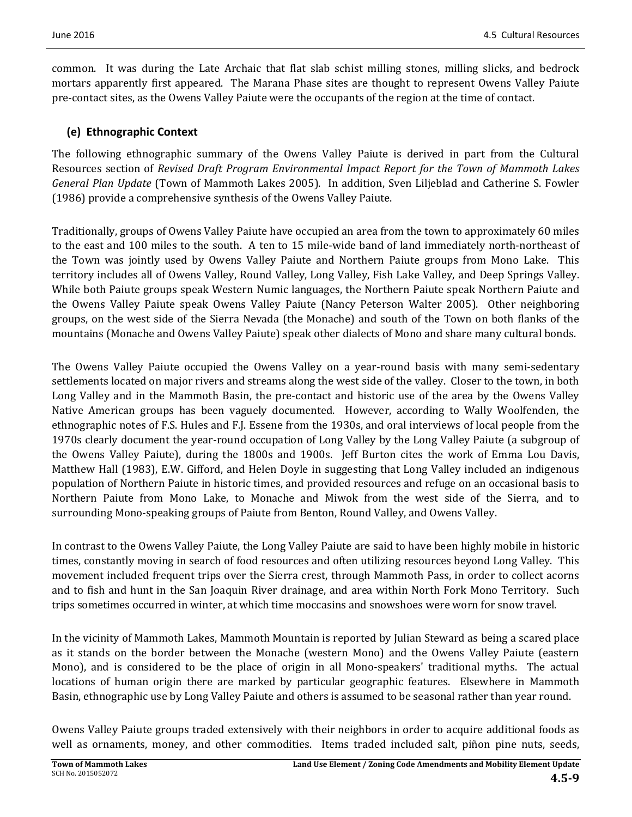common. It was during the Late Archaic that flat slab schist milling stones, milling slicks, and bedrock mortars apparently first appeared. The Marana Phase sites are thought to represent Owens Valley Paiute pre-contact sites, as the Owens Valley Paiute were the occupants of the region at the time of contact.

### **(e) Ethnographic Context**

The following ethnographic summary of the Owens Valley Paiute is derived in part from the Cultural Resources section of *Revised Draft Program Environmental Impact Report for the Town of Mammoth Lakes General Plan Update* (Town of Mammoth Lakes 2005). In addition, Sven Liljeblad and Catherine S. Fowler (1986) provide a comprehensive synthesis of the Owens Valley Paiute.

Traditionally, groups of Owens Valley Paiute have occupied an area from the town to approximately 60 miles to the east and 100 miles to the south. A ten to 15 mile-wide band of land immediately north-northeast of the Town was jointly used by Owens Valley Paiute and Northern Paiute groups from Mono Lake. This territory includes all of Owens Valley, Round Valley, Long Valley, Fish Lake Valley, and Deep Springs Valley. While both Paiute groups speak Western Numic languages, the Northern Paiute speak Northern Paiute and the Owens Valley Paiute speak Owens Valley Paiute (Nancy Peterson Walter 2005). Other neighboring groups, on the west side of the Sierra Nevada (the Monache) and south of the Town on both flanks of the mountains (Monache and Owens Valley Paiute) speak other dialects of Mono and share many cultural bonds.

The Owens Valley Paiute occupied the Owens Valley on a year-round basis with many semi-sedentary settlements located on major rivers and streams along the west side of the valley. Closer to the town, in both Long Valley and in the Mammoth Basin, the pre-contact and historic use of the area by the Owens Valley Native American groups has been vaguely documented. However, according to Wally Woolfenden, the ethnographic notes of F.S. Hules and F.J. Essene from the 1930s, and oral interviews of local people from the 1970s clearly document the year-round occupation of Long Valley by the Long Valley Paiute (a subgroup of the Owens Valley Paiute), during the 1800s and 1900s. Jeff Burton cites the work of Emma Lou Davis, Matthew Hall (1983), E.W. Gifford, and Helen Doyle in suggesting that Long Valley included an indigenous population of Northern Paiute in historic times, and provided resources and refuge on an occasional basis to Northern Paiute from Mono Lake, to Monache and Miwok from the west side of the Sierra, and to surrounding Mono-speaking groups of Paiute from Benton, Round Valley, and Owens Valley.

In contrast to the Owens Valley Paiute, the Long Valley Paiute are said to have been highly mobile in historic times, constantly moving in search of food resources and often utilizing resources beyond Long Valley. This movement included frequent trips over the Sierra crest, through Mammoth Pass, in order to collect acorns and to fish and hunt in the San Joaquin River drainage, and area within North Fork Mono Territory. Such trips sometimes occurred in winter, at which time moccasins and snowshoes were worn for snow travel.

In the vicinity of Mammoth Lakes, Mammoth Mountain is reported by Julian Steward as being a scared place as it stands on the border between the Monache (western Mono) and the Owens Valley Paiute (eastern Mono), and is considered to be the place of origin in all Mono-speakers' traditional myths. The actual locations of human origin there are marked by particular geographic features. Elsewhere in Mammoth Basin, ethnographic use by Long Valley Paiute and others is assumed to be seasonal rather than year round.

Owens Valley Paiute groups traded extensively with their neighbors in order to acquire additional foods as well as ornaments, money, and other commodities. Items traded included salt, piñon pine nuts, seeds,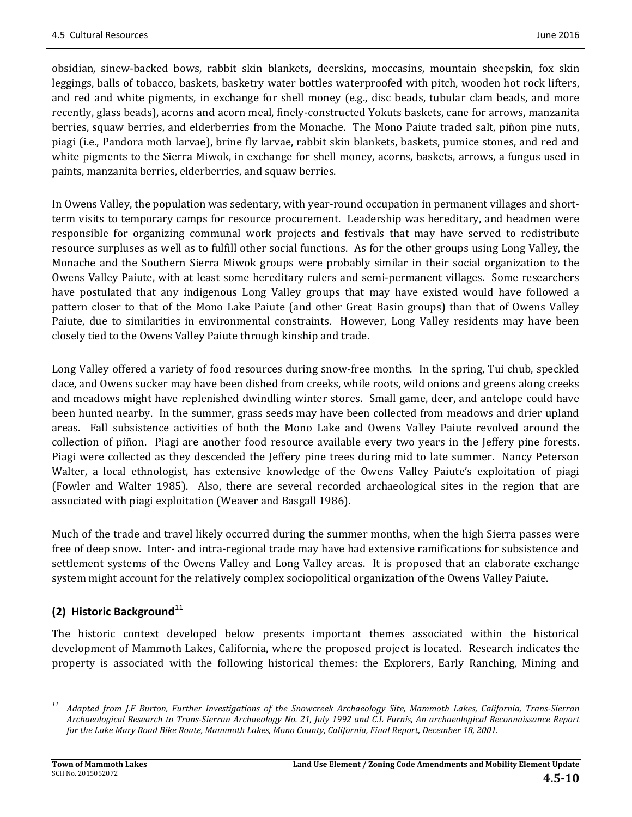obsidian, sinew-backed bows, rabbit skin blankets, deerskins, moccasins, mountain sheepskin, fox skin leggings, balls of tobacco, baskets, basketry water bottles waterproofed with pitch, wooden hot rock lifters, and red and white pigments, in exchange for shell money (e.g., disc beads, tubular clam beads, and more recently, glass beads), acorns and acorn meal, finely-constructed Yokuts baskets, cane for arrows, manzanita berries, squaw berries, and elderberries from the Monache. The Mono Paiute traded salt, piñon pine nuts, piagi (i.e., Pandora moth larvae), brine fly larvae, rabbit skin blankets, baskets, pumice stones, and red and white pigments to the Sierra Miwok, in exchange for shell money, acorns, baskets, arrows, a fungus used in paints, manzanita berries, elderberries, and squaw berries.

In Owens Valley, the population was sedentary, with year-round occupation in permanent villages and shortterm visits to temporary camps for resource procurement. Leadership was hereditary, and headmen were responsible for organizing communal work projects and festivals that may have served to redistribute resource surpluses as well as to fulfill other social functions. As for the other groups using Long Valley, the Monache and the Southern Sierra Miwok groups were probably similar in their social organization to the Owens Valley Paiute, with at least some hereditary rulers and semi-permanent villages. Some researchers have postulated that any indigenous Long Valley groups that may have existed would have followed a pattern closer to that of the Mono Lake Paiute (and other Great Basin groups) than that of Owens Valley Paiute, due to similarities in environmental constraints. However, Long Valley residents may have been closely tied to the Owens Valley Paiute through kinship and trade.

Long Valley offered a variety of food resources during snow-free months. In the spring, Tui chub, speckled dace, and Owens sucker may have been dished from creeks, while roots, wild onions and greens along creeks and meadows might have replenished dwindling winter stores. Small game, deer, and antelope could have been hunted nearby. In the summer, grass seeds may have been collected from meadows and drier upland areas. Fall subsistence activities of both the Mono Lake and Owens Valley Paiute revolved around the collection of piñon. Piagi are another food resource available every two years in the Jeffery pine forests. Piagi were collected as they descended the Jeffery pine trees during mid to late summer. Nancy Peterson Walter, a local ethnologist, has extensive knowledge of the Owens Valley Paiute's exploitation of piagi (Fowler and Walter 1985). Also, there are several recorded archaeological sites in the region that are associated with piagi exploitation (Weaver and Basgall 1986).

Much of the trade and travel likely occurred during the summer months, when the high Sierra passes were free of deep snow. Inter- and intra-regional trade may have had extensive ramifications for subsistence and settlement systems of the Owens Valley and Long Valley areas. It is proposed that an elaborate exchange system might account for the relatively complex sociopolitical organization of the Owens Valley Paiute.

# **(2) Historic Background**<sup>11</sup>

<u> 1989 - Johann Stein, fransk politik (d. 1989)</u>

The historic context developed below presents important themes associated within the historical development of Mammoth Lakes, California, where the proposed project is located. Research indicates the property is associated with the following historical themes: the Explorers, Early Ranching, Mining and

<sup>&</sup>lt;sup>11</sup> Adapted from J.F Burton, Further Investigations of the Snowcreek Archaeology Site, Mammoth Lakes, California, Trans-Sierran Archaeological Research to Trans-Sierran Archaeology No. 21, July 1992 and C.L Furnis, An archaeological Reconnaissance Report for the Lake Mary Road Bike Route, Mammoth Lakes, Mono County, California, Final Report, December 18, 2001.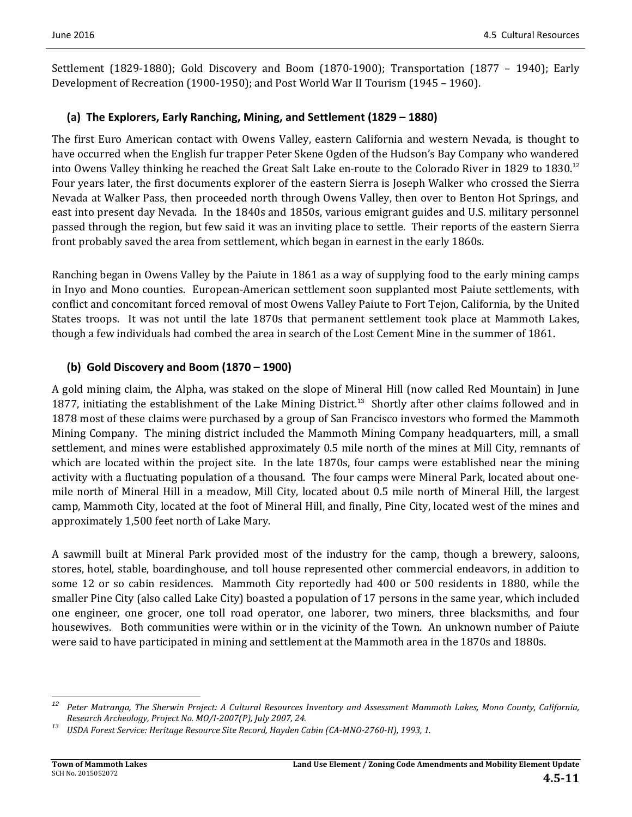Settlement  $(1829-1880)$ ; Gold Discovery and Boom  $(1870-1900)$ ; Transportation  $(1877 - 1940)$ ; Early Development of Recreation  $(1900-1950)$ ; and Post World War II Tourism  $(1945 - 1960)$ .

### **(a) The Explorers, Early Ranching, Mining, and Settlement (1829 – 1880)**

The first Euro American contact with Owens Valley, eastern California and western Nevada, is thought to have occurred when the English fur trapper Peter Skene Ogden of the Hudson's Bay Company who wandered into Owens Valley thinking he reached the Great Salt Lake en-route to the Colorado River in 1829 to 1830.<sup>12</sup> Four years later, the first documents explorer of the eastern Sierra is Joseph Walker who crossed the Sierra Nevada at Walker Pass, then proceeded north through Owens Valley, then over to Benton Hot Springs, and east into present day Nevada. In the 1840s and 1850s, various emigrant guides and U.S. military personnel passed through the region, but few said it was an inviting place to settle. Their reports of the eastern Sierra front probably saved the area from settlement, which began in earnest in the early 1860s.

Ranching began in Owens Valley by the Paiute in 1861 as a way of supplying food to the early mining camps in Inyo and Mono counties. European-American settlement soon supplanted most Paiute settlements, with conflict and concomitant forced removal of most Owens Valley Paiute to Fort Tejon, California, by the United States troops. It was not until the late 1870s that permanent settlement took place at Mammoth Lakes, though a few individuals had combed the area in search of the Lost Cement Mine in the summer of 1861.

## **(b) Gold Discovery and Boom (1870 – 1900)**

A gold mining claim, the Alpha, was staked on the slope of Mineral Hill (now called Red Mountain) in June 1877, initiating the establishment of the Lake Mining District.<sup>13</sup> Shortly after other claims followed and in 1878 most of these claims were purchased by a group of San Francisco investors who formed the Mammoth Mining Company. The mining district included the Mammoth Mining Company headquarters, mill, a small settlement, and mines were established approximately 0.5 mile north of the mines at Mill City, remnants of which are located within the project site. In the late 1870s, four camps were established near the mining activity with a fluctuating population of a thousand. The four camps were Mineral Park, located about onemile north of Mineral Hill in a meadow, Mill City, located about 0.5 mile north of Mineral Hill, the largest camp, Mammoth City, located at the foot of Mineral Hill, and finally, Pine City, located west of the mines and approximately 1,500 feet north of Lake Mary.

A sawmill built at Mineral Park provided most of the industry for the camp, though a brewery, saloons, stores, hotel, stable, boardinghouse, and toll house represented other commercial endeavors, in addition to some 12 or so cabin residences. Mammoth City reportedly had 400 or 500 residents in 1880, while the smaller Pine City (also called Lake City) boasted a population of 17 persons in the same year, which included one engineer, one grocer, one toll road operator, one laborer, two miners, three blacksmiths, and four housewives. Both communities were within or in the vicinity of the Town. An unknown number of Paiute were said to have participated in mining and settlement at the Mammoth area in the 1870s and 1880s.

<u> 1989 - Johann Stein, fransk politik (d. 1989)</u>

<sup>&</sup>lt;sup>12</sup> Peter Matranga, The Sherwin Project: A Cultural Resources Inventory and Assessment Mammoth Lakes, Mono County, California, Research Archeology, Project No. MO/I-2007(P), July 2007, 24.<br><sup>13</sup> USDA Forest Service: Heritage Resource Site Record, Hayden Cabin (CA-MNO-2760-H), 1993, 1.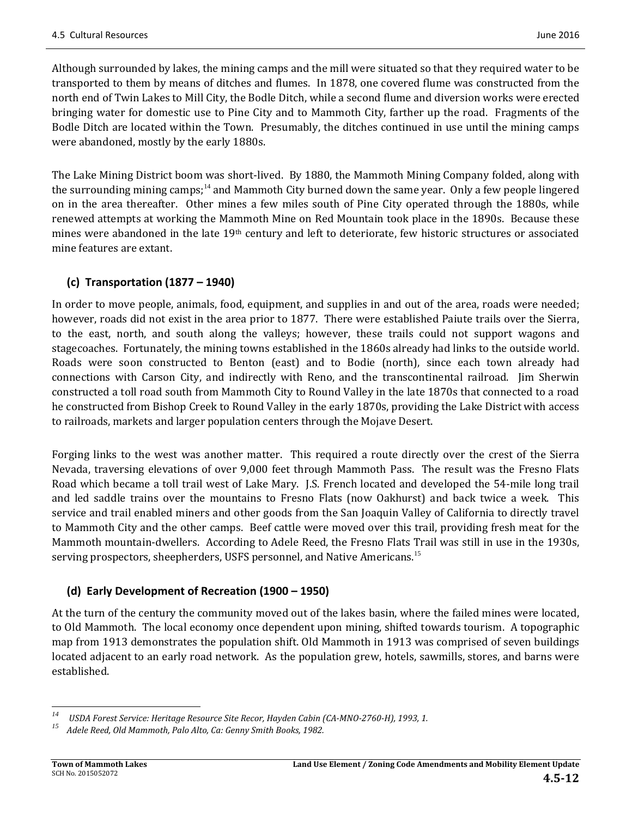Although surrounded by lakes, the mining camps and the mill were situated so that they required water to be transported to them by means of ditches and flumes. In 1878, one covered flume was constructed from the north end of Twin Lakes to Mill City, the Bodle Ditch, while a second flume and diversion works were erected bringing water for domestic use to Pine City and to Mammoth City, farther up the road. Fragments of the Bodle Ditch are located within the Town. Presumably, the ditches continued in use until the mining camps were abandoned, mostly by the early 1880s.

The Lake Mining District boom was short-lived. By 1880, the Mammoth Mining Company folded, along with the surrounding mining camps;<sup>14</sup> and Mammoth City burned down the same year. Only a few people lingered on in the area thereafter. Other mines a few miles south of Pine City operated through the 1880s, while renewed attempts at working the Mammoth Mine on Red Mountain took place in the 1890s. Because these mines were abandoned in the late 19<sup>th</sup> century and left to deteriorate, few historic structures or associated mine features are extant.

# **(c) Transportation (1877 – 1940)**

In order to move people, animals, food, equipment, and supplies in and out of the area, roads were needed; however, roads did not exist in the area prior to 1877. There were established Paiute trails over the Sierra, to the east, north, and south along the valleys; however, these trails could not support wagons and stagecoaches. Fortunately, the mining towns established in the 1860s already had links to the outside world. Roads were soon constructed to Benton (east) and to Bodie (north), since each town already had connections with Carson City, and indirectly with Reno, and the transcontinental railroad. Jim Sherwin constructed a toll road south from Mammoth City to Round Valley in the late 1870s that connected to a road he constructed from Bishop Creek to Round Valley in the early 1870s, providing the Lake District with access to railroads, markets and larger population centers through the Mojave Desert.

Forging links to the west was another matter. This required a route directly over the crest of the Sierra Nevada, traversing elevations of over 9,000 feet through Mammoth Pass. The result was the Fresno Flats Road which became a toll trail west of Lake Mary. [S. French located and developed the 54-mile long trail and led saddle trains over the mountains to Fresno Flats (now Oakhurst) and back twice a week. This service and trail enabled miners and other goods from the San Joaquin Valley of California to directly travel to Mammoth City and the other camps. Beef cattle were moved over this trail, providing fresh meat for the Mammoth mountain-dwellers. According to Adele Reed, the Fresno Flats Trail was still in use in the 1930s, serving prospectors, sheepherders, USFS personnel, and Native Americans.<sup>15</sup>

## **(d) Early Development of Recreation (1900 – 1950)**

At the turn of the century the community moved out of the lakes basin, where the failed mines were located, to Old Mammoth. The local economy once dependent upon mining, shifted towards tourism. A topographic map from 1913 demonstrates the population shift. Old Mammoth in 1913 was comprised of seven buildings located adjacent to an early road network. As the population grew, hotels, sawmills, stores, and barns were established. 

 <sup>14</sup> USDA Forest Service: Heritage Resource Site Recor, Hayden Cabin (CA-MNO-2760-H), 1993, 1.<br><sup>15</sup> Adele Reed, Old Mammoth, Palo Alto, Ca: Cenny Smith Rooks, 1982

*<sup>15</sup> Adele Reed, Old Mammoth, Palo Alto, Ca: Genny Smith Books, 1982.*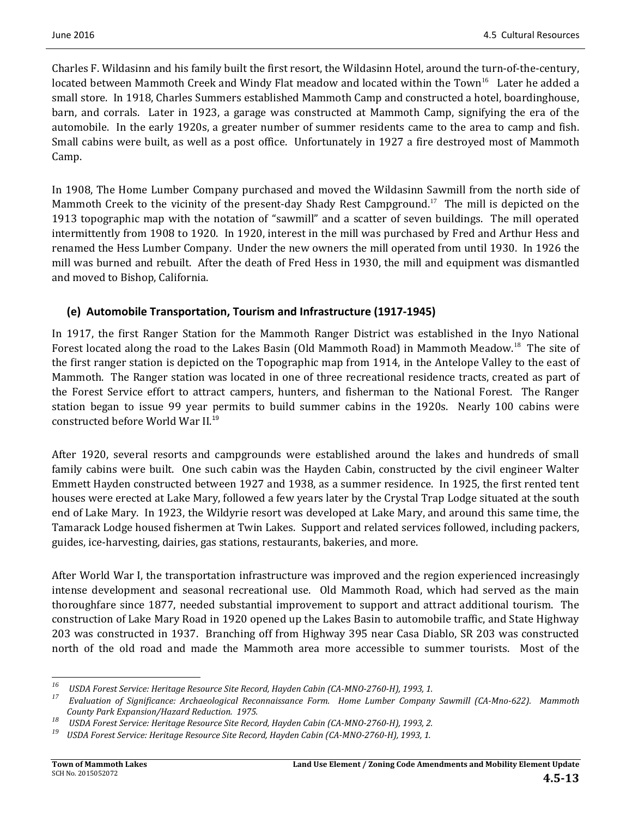Charles F. Wildasinn and his family built the first resort, the Wildasinn Hotel, around the turn-of-the-century, located between Mammoth Creek and Windy Flat meadow and located within the Town<sup>16</sup> Later he added a small store. In 1918, Charles Summers established Mammoth Camp and constructed a hotel, boardinghouse, barn, and corrals. Later in 1923, a garage was constructed at Mammoth Camp, signifying the era of the automobile. In the early 1920s, a greater number of summer residents came to the area to camp and fish. Small cabins were built, as well as a post office. Unfortunately in 1927 a fire destroyed most of Mammoth Camp. 

In 1908, The Home Lumber Company purchased and moved the Wildasinn Sawmill from the north side of Mammoth Creek to the vicinity of the present-day Shady Rest Campground.<sup>17</sup> The mill is depicted on the 1913 topographic map with the notation of "sawmill" and a scatter of seven buildings. The mill operated intermittently from 1908 to 1920. In 1920, interest in the mill was purchased by Fred and Arthur Hess and renamed the Hess Lumber Company. Under the new owners the mill operated from until 1930. In 1926 the mill was burned and rebuilt. After the death of Fred Hess in 1930, the mill and equipment was dismantled and moved to Bishop, California.

## **(e) Automobile Transportation, Tourism and Infrastructure (1917‐1945)**

In 1917, the first Ranger Station for the Mammoth Ranger District was established in the Inyo National Forest located along the road to the Lakes Basin (Old Mammoth Road) in Mammoth Meadow.<sup>18</sup> The site of the first ranger station is depicted on the Topographic map from 1914, in the Antelope Valley to the east of Mammoth. The Ranger station was located in one of three recreational residence tracts, created as part of the Forest Service effort to attract campers, hunters, and fisherman to the National Forest. The Ranger station began to issue 99 year permits to build summer cabins in the 1920s. Nearly 100 cabins were constructed before World War II.<sup>19</sup>

After 1920, several resorts and campgrounds were established around the lakes and hundreds of small family cabins were built. One such cabin was the Hayden Cabin, constructed by the civil engineer Walter Emmett Hayden constructed between 1927 and 1938, as a summer residence. In 1925, the first rented tent houses were erected at Lake Mary, followed a few years later by the Crystal Trap Lodge situated at the south end of Lake Mary. In 1923, the Wildyrie resort was developed at Lake Mary, and around this same time, the Tamarack Lodge housed fishermen at Twin Lakes. Support and related services followed, including packers, guides, ice-harvesting, dairies, gas stations, restaurants, bakeries, and more.

After World War I, the transportation infrastructure was improved and the region experienced increasingly intense development and seasonal recreational use. Old Mammoth Road, which had served as the main thoroughfare since 1877, needed substantial improvement to support and attract additional tourism. The construction of Lake Mary Road in 1920 opened up the Lakes Basin to automobile traffic, and State Highway 203 was constructed in 1937. Branching off from Highway 395 near Casa Diablo, SR 203 was constructed north of the old road and made the Mammoth area more accessible to summer tourists. Most of the

 

<sup>&</sup>lt;sup>16</sup> USDA Forest Service: Heritage Resource Site Record, Hayden Cabin (CA-MNO-2760-H), 1993, 1.<br><sup>17</sup> Evaluation of Sianificance: Archaeological Peconnaissance Form, Home Lumber Company

Evaluation of Significance: Archaeological Reconnaissance Form. Home Lumber Company Sawmill (CA-Mno-622). Mammoth

County Park Expansion/Hazard Reduction. 1975.<br><sup>18</sup> USDA Forest Service: Heritage Resource Site Record, Hayden Cabin (CA-MNO-2760-H), 1993, 2.<br><sup>19</sup> USDA Forest Service: Heritage Pesource Site Pecord, Hayden Cabin (CA-MNO-27

USDA Forest Service: Heritage Resource Site Record, Hayden Cabin (CA-MNO-2760-H), 1993, 1.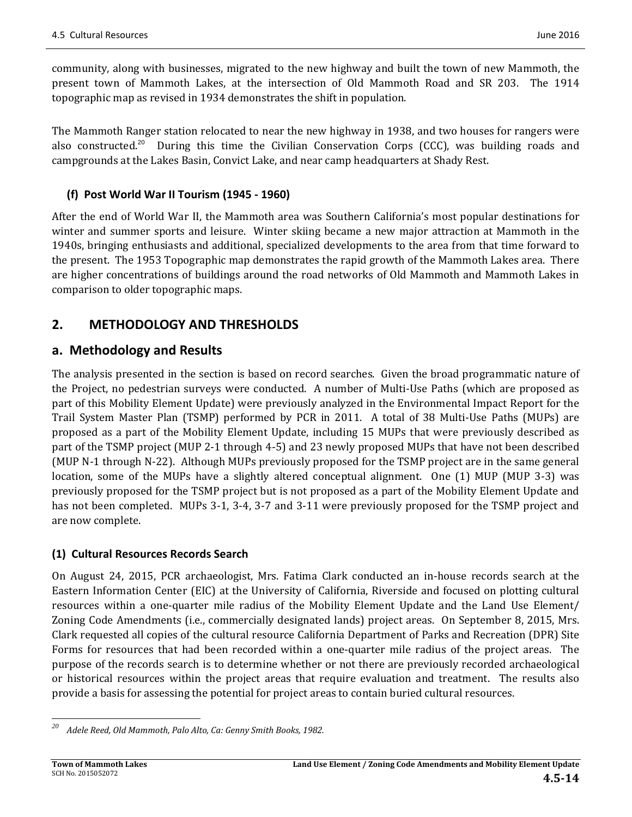community, along with businesses, migrated to the new highway and built the town of new Mammoth, the present town of Mammoth Lakes, at the intersection of Old Mammoth Road and SR 203. The 1914 topographic map as revised in 1934 demonstrates the shift in population.

The Mammoth Ranger station relocated to near the new highway in 1938, and two houses for rangers were also constructed.<sup>20</sup> During this time the Civilian Conservation Corps (CCC), was building roads and campgrounds at the Lakes Basin, Convict Lake, and near camp headquarters at Shady Rest.

# **(f) Post World War II Tourism (1945 ‐ 1960)**

After the end of World War II, the Mammoth area was Southern California's most popular destinations for winter and summer sports and leisure. Winter skiing became a new major attraction at Mammoth in the 1940s, bringing enthusiasts and additional, specialized developments to the area from that time forward to the present. The 1953 Topographic map demonstrates the rapid growth of the Mammoth Lakes area. There are higher concentrations of buildings around the road networks of Old Mammoth and Mammoth Lakes in comparison to older topographic maps.

# **2. METHODOLOGY AND THRESHOLDS**

# **a. Methodology and Results**

The analysis presented in the section is based on record searches. Given the broad programmatic nature of the Project, no pedestrian surveys were conducted. A number of Multi-Use Paths (which are proposed as part of this Mobility Element Update) were previously analyzed in the Environmental Impact Report for the Trail System Master Plan (TSMP) performed by PCR in 2011. A total of 38 Multi-Use Paths (MUPs) are proposed as a part of the Mobility Element Update, including 15 MUPs that were previously described as part of the TSMP project (MUP 2-1 through 4-5) and 23 newly proposed MUPs that have not been described (MUP N-1 through N-22). Although MUPs previously proposed for the TSMP project are in the same general location, some of the MUPs have a slightly altered conceptual alignment. One  $(1)$  MUP (MUP 3-3) was previously proposed for the TSMP project but is not proposed as a part of the Mobility Element Update and has not been completed. MUPs 3-1, 3-4, 3-7 and 3-11 were previously proposed for the TSMP project and are now complete.

# **(1) Cultural Resources Records Search**

On August 24, 2015, PCR archaeologist, Mrs. Fatima Clark conducted an in-house records search at the Eastern Information Center (EIC) at the University of California, Riverside and focused on plotting cultural resources within a one-quarter mile radius of the Mobility Element Update and the Land Use Element/ Zoning Code Amendments (i.e., commercially designated lands) project areas. On September 8, 2015, Mrs. Clark requested all copies of the cultural resource California Department of Parks and Recreation (DPR) Site Forms for resources that had been recorded within a one-quarter mile radius of the project areas. The purpose of the records search is to determine whether or not there are previously recorded archaeological or historical resources within the project areas that require evaluation and treatment. The results also provide a basis for assessing the potential for project areas to contain buried cultural resources.

 *<sup>20</sup> Adele Reed, Old Mammoth, Palo Alto, Ca: Genny Smith Books, 1982.*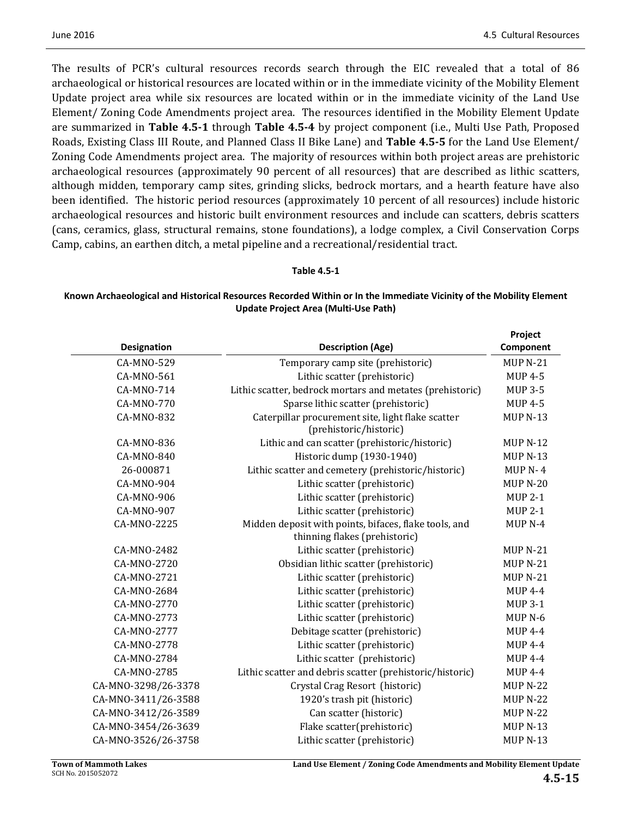The results of PCR's cultural resources records search through the EIC revealed that a total of 86 archaeological or historical resources are located within or in the immediate vicinity of the Mobility Element Update project area while six resources are located within or in the immediate vicinity of the Land Use Element/ Zoning Code Amendments project area. The resources identified in the Mobility Element Update **are summarized in Table 4.5-1** through Table 4.5-4 by project component (i.e., Multi Use Path, Proposed Roads, Existing Class III Route, and Planned Class II Bike Lane) and **Table 4.5-5** for the Land Use Element/ Zoning Code Amendments project area. The majority of resources within both project areas are prehistoric archaeological resources (approximately 90 percent of all resources) that are described as lithic scatters, although midden, temporary camp sites, grinding slicks, bedrock mortars, and a hearth feature have also been identified. The historic period resources (approximately 10 percent of all resources) include historic archaeological resources and historic built environment resources and include can scatters, debris scatters (cans, ceramics, glass, structural remains, stone foundations), a lodge complex, a Civil Conservation Corps Camp, cabins, an earthen ditch, a metal pipeline and a recreational/residential tract.

#### **Table 4.5‐1**

#### Known Archaeological and Historical Resources Recorded Within or In the Immediate Vicinity of the Mobility Element **Update Project Area (Multi‐Use Path)**

|                     |                                                                                        | Project            |
|---------------------|----------------------------------------------------------------------------------------|--------------------|
| <b>Designation</b>  | <b>Description (Age)</b>                                                               | Component          |
| CA-MNO-529          | Temporary camp site (prehistoric)                                                      | <b>MUP N-21</b>    |
| CA-MNO-561          | Lithic scatter (prehistoric)                                                           | <b>MUP 4-5</b>     |
| CA-MNO-714          | Lithic scatter, bedrock mortars and metates (prehistoric)                              | <b>MUP 3-5</b>     |
| CA-MNO-770          | Sparse lithic scatter (prehistoric)                                                    | <b>MUP 4-5</b>     |
| CA-MNO-832          | Caterpillar procurement site, light flake scatter<br>(prehistoric/historic)            | <b>MUP N-13</b>    |
| CA-MNO-836          | Lithic and can scatter (prehistoric/historic)                                          | <b>MUP N-12</b>    |
| CA-MNO-840          | Historic dump (1930-1940)                                                              | <b>MUP N-13</b>    |
| 26-000871           | Lithic scatter and cemetery (prehistoric/historic)                                     | $MUPN-4$           |
| CA-MNO-904          | Lithic scatter (prehistoric)                                                           | <b>MUP N-20</b>    |
| CA-MNO-906          | Lithic scatter (prehistoric)                                                           | <b>MUP 2-1</b>     |
| CA-MNO-907          | Lithic scatter (prehistoric)                                                           | <b>MUP 2-1</b>     |
| CA-MNO-2225         | Midden deposit with points, bifaces, flake tools, and<br>thinning flakes (prehistoric) | MUP <sub>N-4</sub> |
| CA-MNO-2482         | Lithic scatter (prehistoric)                                                           | <b>MUP N-21</b>    |
| CA-MNO-2720         | Obsidian lithic scatter (prehistoric)                                                  | <b>MUP N-21</b>    |
| CA-MNO-2721         | Lithic scatter (prehistoric)                                                           | <b>MUP N-21</b>    |
| CA-MNO-2684         | Lithic scatter (prehistoric)                                                           | <b>MUP 4-4</b>     |
| CA-MNO-2770         | Lithic scatter (prehistoric)                                                           | <b>MUP 3-1</b>     |
| CA-MNO-2773         | Lithic scatter (prehistoric)                                                           | MUP <sub>N-6</sub> |
| CA-MNO-2777         | Debitage scatter (prehistoric)                                                         | <b>MUP 4-4</b>     |
| CA-MNO-2778         | Lithic scatter (prehistoric)                                                           | <b>MUP 4-4</b>     |
| CA-MNO-2784         | Lithic scatter (prehistoric)                                                           | <b>MUP 4-4</b>     |
| CA-MNO-2785         | Lithic scatter and debris scatter (prehistoric/historic)                               | <b>MUP 4-4</b>     |
| CA-MNO-3298/26-3378 | Crystal Crag Resort (historic)                                                         | <b>MUP N-22</b>    |
| CA-MNO-3411/26-3588 | 1920's trash pit (historic)                                                            | <b>MUP N-22</b>    |
| CA-MNO-3412/26-3589 | Can scatter (historic)                                                                 | <b>MUP N-22</b>    |
| CA-MNO-3454/26-3639 | Flake scatter(prehistoric)                                                             | <b>MUP N-13</b>    |
| CA-MNO-3526/26-3758 | Lithic scatter (prehistoric)                                                           | <b>MUP N-13</b>    |
|                     |                                                                                        |                    |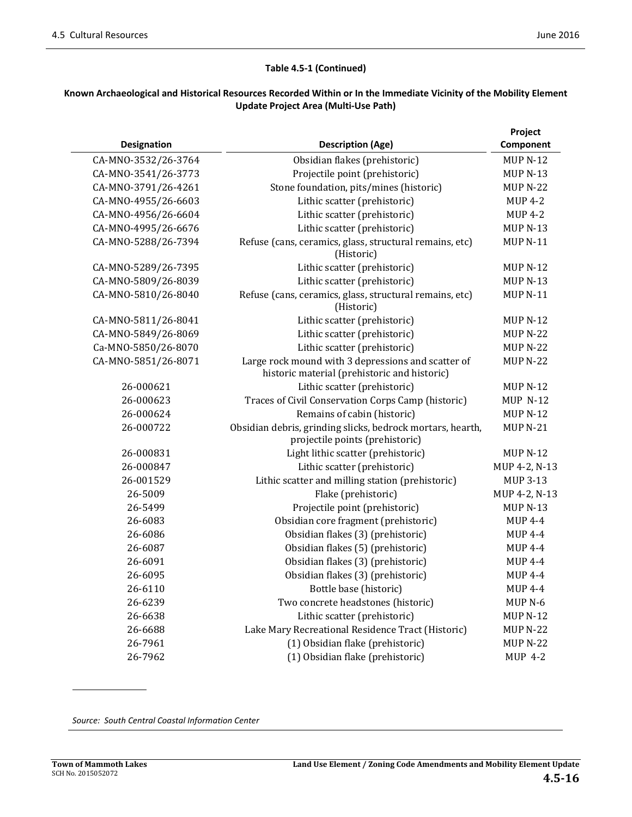$\overline{\phantom{0}}$ 

#### **Table 4.5‐1 (Continued)**

#### Known Archaeological and Historical Resources Recorded Within or In the Immediate Vicinity of the Mobility Element **Update Project Area (Multi‐Use Path)**

|                     |                                                                                                    | Project            |
|---------------------|----------------------------------------------------------------------------------------------------|--------------------|
| Designation         | <b>Description (Age)</b>                                                                           | Component          |
| CA-MNO-3532/26-3764 | Obsidian flakes (prehistoric)                                                                      | <b>MUP N-12</b>    |
| CA-MNO-3541/26-3773 | Projectile point (prehistoric)                                                                     | <b>MUP N-13</b>    |
| CA-MNO-3791/26-4261 | Stone foundation, pits/mines (historic)                                                            | <b>MUP N-22</b>    |
| CA-MNO-4955/26-6603 | Lithic scatter (prehistoric)                                                                       | <b>MUP 4-2</b>     |
| CA-MNO-4956/26-6604 | Lithic scatter (prehistoric)                                                                       | <b>MUP 4-2</b>     |
| CA-MNO-4995/26-6676 | Lithic scatter (prehistoric)                                                                       | <b>MUP N-13</b>    |
| CA-MNO-5288/26-7394 | Refuse (cans, ceramics, glass, structural remains, etc)<br>(Historic)                              | <b>MUP N-11</b>    |
| CA-MNO-5289/26-7395 | Lithic scatter (prehistoric)                                                                       | <b>MUP N-12</b>    |
| CA-MNO-5809/26-8039 | Lithic scatter (prehistoric)                                                                       | <b>MUP N-13</b>    |
| CA-MNO-5810/26-8040 | Refuse (cans, ceramics, glass, structural remains, etc)<br>(Historic)                              |                    |
| CA-MNO-5811/26-8041 | Lithic scatter (prehistoric)                                                                       | <b>MUP N-12</b>    |
| CA-MNO-5849/26-8069 | Lithic scatter (prehistoric)                                                                       | <b>MUP N-22</b>    |
| Ca-MNO-5850/26-8070 | Lithic scatter (prehistoric)                                                                       | <b>MUP N-22</b>    |
| CA-MNO-5851/26-8071 | Large rock mound with 3 depressions and scatter of<br>historic material (prehistoric and historic) | <b>MUP N-22</b>    |
| 26-000621           | Lithic scatter (prehistoric)                                                                       | <b>MUP N-12</b>    |
| 26-000623           | Traces of Civil Conservation Corps Camp (historic)                                                 | <b>MUP N-12</b>    |
| 26-000624           | Remains of cabin (historic)                                                                        | <b>MUP N-12</b>    |
| 26-000722           | Obsidian debris, grinding slicks, bedrock mortars, hearth,<br>projectile points (prehistoric)      | $MUPN-21$          |
| 26-000831           | Light lithic scatter (prehistoric)                                                                 | $MUPN-12$          |
| 26-000847           | Lithic scatter (prehistoric)                                                                       | MUP 4-2, N-13      |
| 26-001529           | Lithic scatter and milling station (prehistoric)                                                   | MUP 3-13           |
| 26-5009             | Flake (prehistoric)                                                                                | MUP 4-2, N-13      |
| 26-5499             | Projectile point (prehistoric)                                                                     | <b>MUP N-13</b>    |
| 26-6083             | Obsidian core fragment (prehistoric)                                                               | $MUP$ 4-4          |
| 26-6086             | Obsidian flakes (3) (prehistoric)                                                                  | MUP 4-4            |
| 26-6087             | Obsidian flakes (5) (prehistoric)                                                                  | <b>MUP 4-4</b>     |
| 26-6091             | Obsidian flakes (3) (prehistoric)                                                                  | <b>MUP 4-4</b>     |
| 26-6095             | Obsidian flakes (3) (prehistoric)                                                                  | $MUP$ 4-4          |
| 26-6110             | Bottle base (historic)                                                                             | <b>MUP 4-4</b>     |
| 26-6239             | Two concrete headstones (historic)                                                                 | MUP <sub>N-6</sub> |
| 26-6638             | Lithic scatter (prehistoric)                                                                       | <b>MUP N-12</b>    |
| 26-6688             | Lake Mary Recreational Residence Tract (Historic)                                                  | <b>MUP N-22</b>    |
| 26-7961             | (1) Obsidian flake (prehistoric)                                                                   | <b>MUP N-22</b>    |
| 26-7962             | (1) Obsidian flake (prehistoric)                                                                   | MUP 4-2            |

*Source: South Central Coastal Information Center*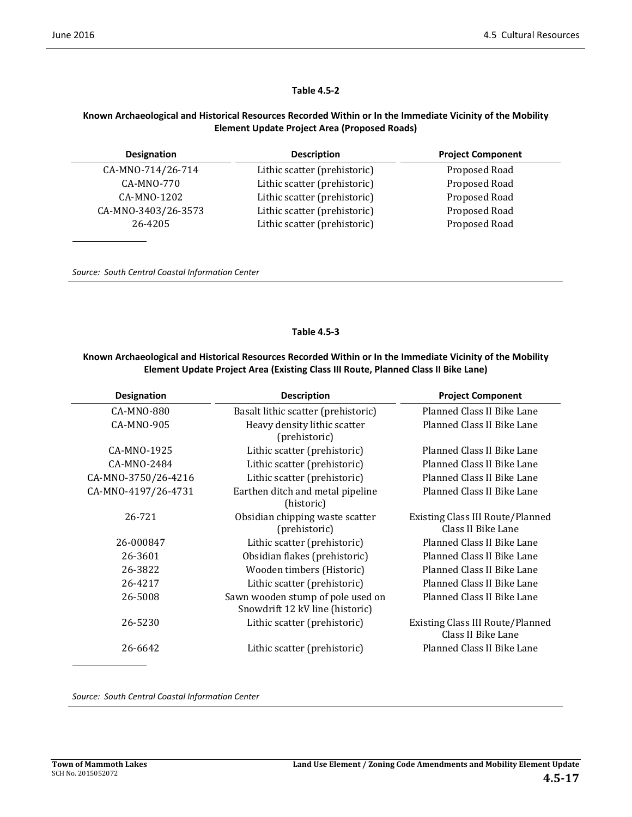#### **Table 4.5‐2**

#### **Known Archaeological and Historical Resources Recorded Within or In the Immediate Vicinity of the Mobility Element Update Project Area (Proposed Roads)**

| <b>Designation</b>  | <b>Description</b>           | <b>Project Component</b> |
|---------------------|------------------------------|--------------------------|
| CA-MNO-714/26-714   | Lithic scatter (prehistoric) | Proposed Road            |
| CA-MNO-770          | Lithic scatter (prehistoric) | Proposed Road            |
| CA-MNO-1202         | Lithic scatter (prehistoric) | Proposed Road            |
| CA-MNO-3403/26-3573 | Lithic scatter (prehistoric) | Proposed Road            |
| 26-4205             | Lithic scatter (prehistoric) | Proposed Road            |
|                     |                              |                          |

*Source: South Central Coastal Information Center*

#### **Table 4.5‐3**

#### **Known Archaeological and Historical Resources Recorded Within or In the Immediate Vicinity of the Mobility Element Update Project Area (Existing Class III Route, Planned Class II Bike Lane)**

| <b>Designation</b>  | <b>Description</b>                                                   | <b>Project Component</b>                                      |
|---------------------|----------------------------------------------------------------------|---------------------------------------------------------------|
| CA-MNO-880          | Basalt lithic scatter (prehistoric)                                  | Planned Class II Bike Lane                                    |
| CA-MNO-905          | Heavy density lithic scatter<br>(prehistoric)                        | Planned Class II Bike Lane                                    |
| CA-MNO-1925         | Lithic scatter (prehistoric)                                         | Planned Class II Bike Lane                                    |
| CA-MNO-2484         | Lithic scatter (prehistoric)                                         | Planned Class II Bike Lane                                    |
| CA-MNO-3750/26-4216 | Lithic scatter (prehistoric)                                         | Planned Class II Bike Lane                                    |
| CA-MNO-4197/26-4731 | Earthen ditch and metal pipeline<br>(historic)                       | Planned Class II Bike Lane                                    |
| 26-721              | Obsidian chipping waste scatter<br>(prehistoric)                     | <b>Existing Class III Route/Planned</b><br>Class II Bike Lane |
| 26-000847           | Lithic scatter (prehistoric)                                         | Planned Class II Bike Lane                                    |
| 26-3601             | Obsidian flakes (prehistoric)                                        | Planned Class II Bike Lane                                    |
| 26-3822             | Wooden timbers (Historic)                                            | Planned Class II Bike Lane                                    |
| 26-4217             | Lithic scatter (prehistoric)                                         | Planned Class II Bike Lane                                    |
| 26-5008             | Sawn wooden stump of pole used on<br>Snowdrift 12 kV line (historic) | Planned Class II Bike Lane                                    |
| 26-5230             | Lithic scatter (prehistoric)                                         | <b>Existing Class III Route/Planned</b><br>Class II Bike Lane |
| 26-6642             | Lithic scatter (prehistoric)                                         | Planned Class II Bike Lane                                    |

*Source: South Central Coastal Information Center*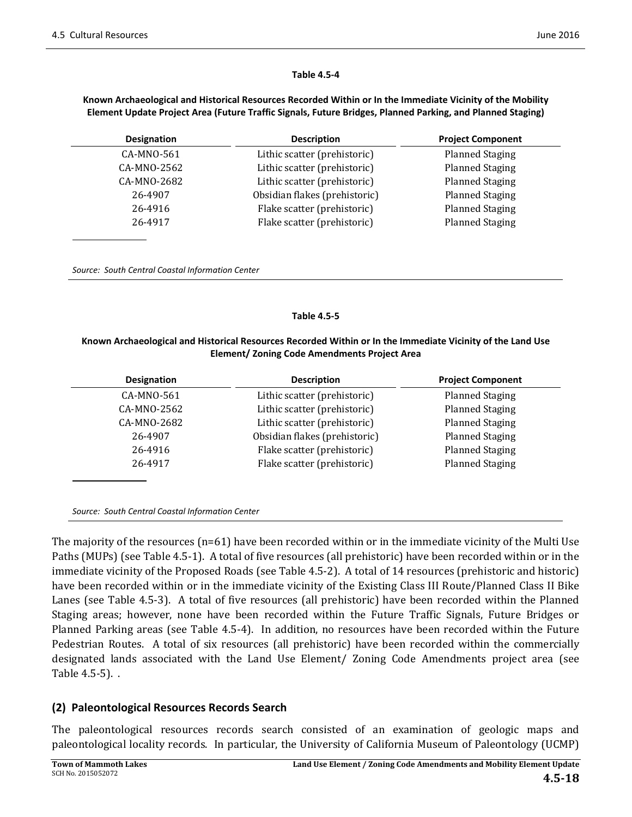#### **Table 4.5‐4**

#### **Known Archaeological and Historical Resources Recorded Within or In the Immediate Vicinity of the Mobility Element Update Project Area (Future Traffic Signals, Future Bridges, Planned Parking, and Planned Staging)**

| Designation | <b>Description</b>            | <b>Project Component</b> |
|-------------|-------------------------------|--------------------------|
| CA-MNO-561  | Lithic scatter (prehistoric)  | <b>Planned Staging</b>   |
| CA-MNO-2562 | Lithic scatter (prehistoric)  | <b>Planned Staging</b>   |
| CA-MNO-2682 | Lithic scatter (prehistoric)  | <b>Planned Staging</b>   |
| 26-4907     | Obsidian flakes (prehistoric) | <b>Planned Staging</b>   |
| 26-4916     | Flake scatter (prehistoric)   | <b>Planned Staging</b>   |
| 26-4917     | Flake scatter (prehistoric)   | <b>Planned Staging</b>   |

*Source: South Central Coastal Information Center*

#### **Table 4.5‐5**

#### **Known Archaeological and Historical Resources Recorded Within or In the Immediate Vicinity of the Land Use Element/ Zoning Code Amendments Project Area**

| <b>Designation</b> | <b>Description</b>            | <b>Project Component</b> |
|--------------------|-------------------------------|--------------------------|
| CA-MNO-561         | Lithic scatter (prehistoric)  | <b>Planned Staging</b>   |
| CA-MNO-2562        | Lithic scatter (prehistoric)  | <b>Planned Staging</b>   |
| CA-MNO-2682        | Lithic scatter (prehistoric)  | <b>Planned Staging</b>   |
| 26-4907            | Obsidian flakes (prehistoric) | <b>Planned Staging</b>   |
| 26-4916            | Flake scatter (prehistoric)   | <b>Planned Staging</b>   |
| 26-4917            | Flake scatter (prehistoric)   | <b>Planned Staging</b>   |
|                    |                               |                          |

*Source: South Central Coastal Information Center*

The majority of the resources  $(n=61)$  have been recorded within or in the immediate vicinity of the Multi Use Paths (MUPs) (see Table 4.5-1). A total of five resources (all prehistoric) have been recorded within or in the immediate vicinity of the Proposed Roads (see Table 4.5-2). A total of 14 resources (prehistoric and historic) have been recorded within or in the immediate vicinity of the Existing Class III Route/Planned Class II Bike Lanes (see Table 4.5-3). A total of five resources (all prehistoric) have been recorded within the Planned Staging areas; however, none have been recorded within the Future Traffic Signals, Future Bridges or Planned Parking areas (see Table 4.5-4). In addition, no resources have been recorded within the Future Pedestrian Routes. A total of six resources (all prehistoric) have been recorded within the commercially designated lands associated with the Land Use Element/ Zoning Code Amendments project area (see Table  $4.5-5$ ). .

### **(2) Paleontological Resources Records Search**

The paleontological resources records search consisted of an examination of geologic maps and paleontological locality records. In particular, the University of California Museum of Paleontology (UCMP)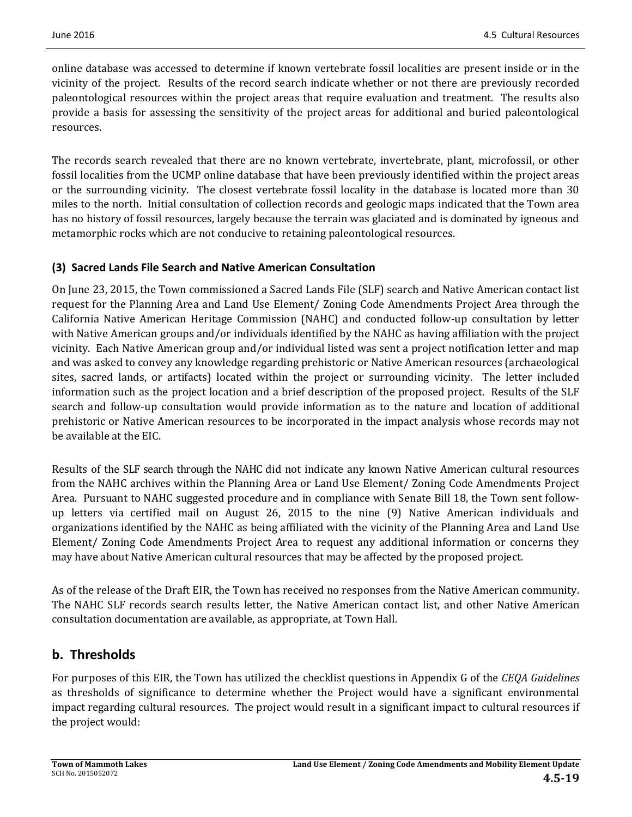online database was accessed to determine if known vertebrate fossil localities are present inside or in the vicinity of the project. Results of the record search indicate whether or not there are previously recorded paleontological resources within the project areas that require evaluation and treatment. The results also provide a basis for assessing the sensitivity of the project areas for additional and buried paleontological resources. 

The records search revealed that there are no known vertebrate, invertebrate, plant, microfossil, or other fossil localities from the UCMP online database that have been previously identified within the project areas or the surrounding vicinity. The closest vertebrate fossil locality in the database is located more than 30 miles to the north. Initial consultation of collection records and geologic maps indicated that the Town area has no history of fossil resources, largely because the terrain was glaciated and is dominated by igneous and metamorphic rocks which are not conducive to retaining paleontological resources.

# **(3) Sacred Lands File Search and Native American Consultation**

On June 23, 2015, the Town commissioned a Sacred Lands File (SLF) search and Native American contact list request for the Planning Area and Land Use Element/ Zoning Code Amendments Project Area through the California Native American Heritage Commission (NAHC) and conducted follow-up consultation by letter with Native American groups and/or individuals identified by the NAHC as having affiliation with the project vicinity. Each Native American group and/or individual listed was sent a project notification letter and map and was asked to convey any knowledge regarding prehistoric or Native American resources (archaeological sites, sacred lands, or artifacts) located within the project or surrounding vicinity. The letter included information such as the project location and a brief description of the proposed project. Results of the SLF search and follow-up consultation would provide information as to the nature and location of additional prehistoric or Native American resources to be incorporated in the impact analysis whose records may not be available at the EIC.

Results of the SLF search through the NAHC did not indicate any known Native American cultural resources from the NAHC archives within the Planning Area or Land Use Element/ Zoning Code Amendments Project Area. Pursuant to NAHC suggested procedure and in compliance with Senate Bill 18, the Town sent followup letters via certified mail on August 26, 2015 to the nine (9) Native American individuals and organizations identified by the NAHC as being affiliated with the vicinity of the Planning Area and Land Use Element/ Zoning Code Amendments Project Area to request any additional information or concerns they may have about Native American cultural resources that may be affected by the proposed project.

As of the release of the Draft EIR, the Town has received no responses from the Native American community. The NAHC SLF records search results letter, the Native American contact list, and other Native American consultation documentation are available, as appropriate, at Town Hall.

# **b. Thresholds**

For purposes of this EIR, the Town has utilized the checklist questions in Appendix G of the *CEQA Guidelines* as thresholds of significance to determine whether the Project would have a significant environmental impact regarding cultural resources. The project would result in a significant impact to cultural resources if the project would: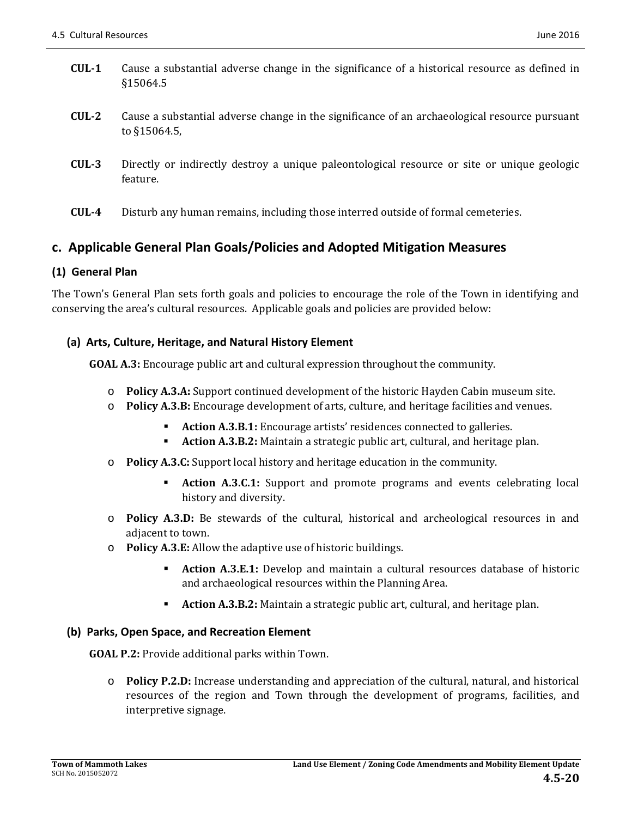- **CUL-1** Cause a substantial adverse change in the significance of a historical resource as defined in §15064.5
- **CUL**<sup>2</sup> Cause a substantial adverse change in the significance of an archaeological resource pursuant to §15064.5,
- **CUL-3** Directly or indirectly destroy a unique paleontological resource or site or unique geologic feature.
- **CUL**<sup>4</sup> Disturb any human remains, including those interred outside of formal cemeteries.

# **c. Applicable General Plan Goals/Policies and Adopted Mitigation Measures**

### **(1) General Plan**

The Town's General Plan sets forth goals and policies to encourage the role of the Town in identifying and conserving the area's cultural resources. Applicable goals and policies are provided below:

### **(a) Arts, Culture, Heritage, and Natural History Element**

**GOAL A.3:** Encourage public art and cultural expression throughout the community.

- o **Policy A.3.A:** Support continued development of the historic Hayden Cabin museum site.
- o **Policy A.3.B:** Encourage development of arts, culture, and heritage facilities and venues.
	- **Action A.3.B.1:** Encourage artists' residences connected to galleries.
	- **Action A.3.B.2:** Maintain a strategic public art, cultural, and heritage plan.
- $\circ$  **Policy A.3.C:** Support local history and heritage education in the community.
	- **Action A.3.C.1:** Support and promote programs and events celebrating local history and diversity.
- $\circ$  **Policy A.3.D:** Be stewards of the cultural, historical and archeological resources in and adjacent to town.
- o **Policy A.3.E:** Allow the adaptive use of historic buildings.
	- **Action A.3.E.1:** Develop and maintain a cultural resources database of historic and archaeological resources within the Planning Area.
	- **Action A.3.B.2:** Maintain a strategic public art, cultural, and heritage plan.

### **(b) Parks, Open Space, and Recreation Element**

**GOAL P.2:** Provide additional parks within Town.

o **Policy P.2.D:** Increase understanding and appreciation of the cultural, natural, and historical resources of the region and Town through the development of programs, facilities, and interpretive signage.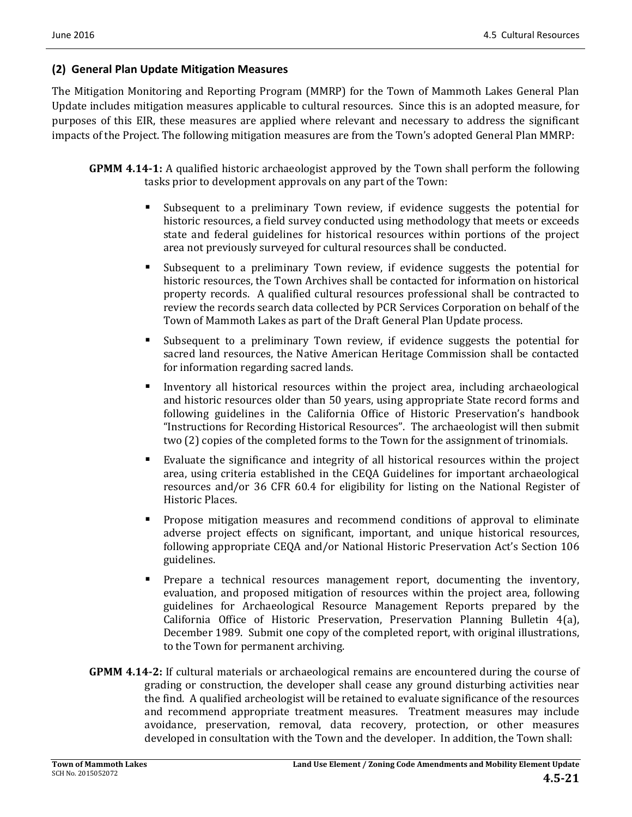### **(2) General Plan Update Mitigation Measures**

The Mitigation Monitoring and Reporting Program (MMRP) for the Town of Mammoth Lakes General Plan Update includes mitigation measures applicable to cultural resources. Since this is an adopted measure, for purposes of this EIR, these measures are applied where relevant and necessary to address the significant impacts of the Project. The following mitigation measures are from the Town's adopted General Plan MMRP:

- **GPMM 4.14-1:** A qualified historic archaeologist approved by the Town shall perform the following tasks prior to development approvals on any part of the Town:
	- **Subsequent to a preliminary Town review, if evidence suggests the potential for** historic resources, a field survey conducted using methodology that meets or exceeds state and federal guidelines for historical resources within portions of the project area not previously surveyed for cultural resources shall be conducted.
	- Subsequent to a preliminary Town review, if evidence suggests the potential for historic resources, the Town Archives shall be contacted for information on historical property records. A qualified cultural resources professional shall be contracted to review the records search data collected by PCR Services Corporation on behalf of the Town of Mammoth Lakes as part of the Draft General Plan Update process.
	- **Subsequent to a preliminary Town review, if evidence suggests the potential for** sacred land resources, the Native American Heritage Commission shall be contacted for information regarding sacred lands.
	- Inventory all historical resources within the project area, including archaeological and historic resources older than 50 years, using appropriate State record forms and following guidelines in the California Office of Historic Preservation's handbook "Instructions for Recording Historical Resources". The archaeologist will then submit two (2) copies of the completed forms to the Town for the assignment of trinomials.
	- Evaluate the significance and integrity of all historical resources within the project area, using criteria established in the CEQA Guidelines for important archaeological resources and/or 36 CFR 60.4 for eligibility for listing on the National Register of Historic Places.
	- **Propose mitigation measures and recommend conditions of approval to eliminate** adverse project effects on significant, important, and unique historical resources, following appropriate CEQA and/or National Historic Preservation Act's Section 106 guidelines.
	- Prepare a technical resources management report, documenting the inventory, evaluation, and proposed mitigation of resources within the project area, following guidelines for Archaeological Resource Management Reports prepared by the California Office of Historic Preservation, Preservation Planning Bulletin  $4(a)$ , December 1989. Submit one copy of the completed report, with original illustrations, to the Town for permanent archiving.
- **GPMM 4.14-2:** If cultural materials or archaeological remains are encountered during the course of grading or construction, the developer shall cease any ground disturbing activities near the find. A qualified archeologist will be retained to evaluate significance of the resources and recommend appropriate treatment measures. Treatment measures may include avoidance, preservation, removal, data recovery, protection, or other measures developed in consultation with the Town and the developer. In addition, the Town shall: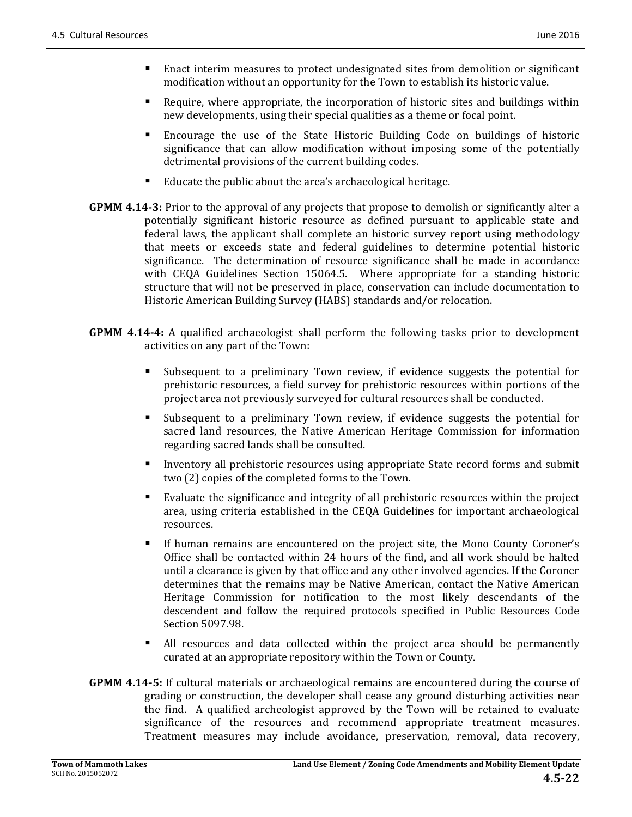- Enact interim measures to protect undesignated sites from demolition or significant modification without an opportunity for the Town to establish its historic value.
- Require, where appropriate, the incorporation of historic sites and buildings within new developments, using their special qualities as a theme or focal point.
- **Encourage the use of the State Historic Building Code on buildings of historic** significance that can allow modification without imposing some of the potentially detrimental provisions of the current building codes.
- Educate the public about the area's archaeological heritage.
- **GPMM 4.14-3:** Prior to the approval of any projects that propose to demolish or significantly alter a potentially significant historic resource as defined pursuant to applicable state and federal laws, the applicant shall complete an historic survey report using methodology that meets or exceeds state and federal guidelines to determine potential historic significance. The determination of resource significance shall be made in accordance with  $CEQA$  Guidelines Section 15064.5. Where appropriate for a standing historic structure that will not be preserved in place, conservation can include documentation to Historic American Building Survey (HABS) standards and/or relocation.
- **GPMM 4.14-4:** A qualified archaeologist shall perform the following tasks prior to development activities on any part of the Town:
	- If Subsequent to a preliminary Town review, if evidence suggests the potential for prehistoric resources, a field survey for prehistoric resources within portions of the project area not previously surveyed for cultural resources shall be conducted.
	- If Subsequent to a preliminary Town review, if evidence suggests the potential for sacred land resources, the Native American Heritage Commission for information regarding sacred lands shall be consulted.
	- Inventory all prehistoric resources using appropriate State record forms and submit two (2) copies of the completed forms to the Town.
	- Evaluate the significance and integrity of all prehistoric resources within the project area, using criteria established in the CEQA Guidelines for important archaeological resources.
	- If human remains are encountered on the project site, the Mono County Coroner's Office shall be contacted within  $24$  hours of the find, and all work should be halted until a clearance is given by that office and any other involved agencies. If the Coroner determines that the remains may be Native American, contact the Native American Heritage Commission for notification to the most likely descendants of the descendent and follow the required protocols specified in Public Resources Code Section 5097.98.
	- All resources and data collected within the project area should be permanently curated at an appropriate repository within the Town or County.
- **GPMM 4.14-5:** If cultural materials or archaeological remains are encountered during the course of grading or construction, the developer shall cease any ground disturbing activities near the find. A qualified archeologist approved by the Town will be retained to evaluate significance of the resources and recommend appropriate treatment measures. Treatment measures may include avoidance, preservation, removal, data recovery,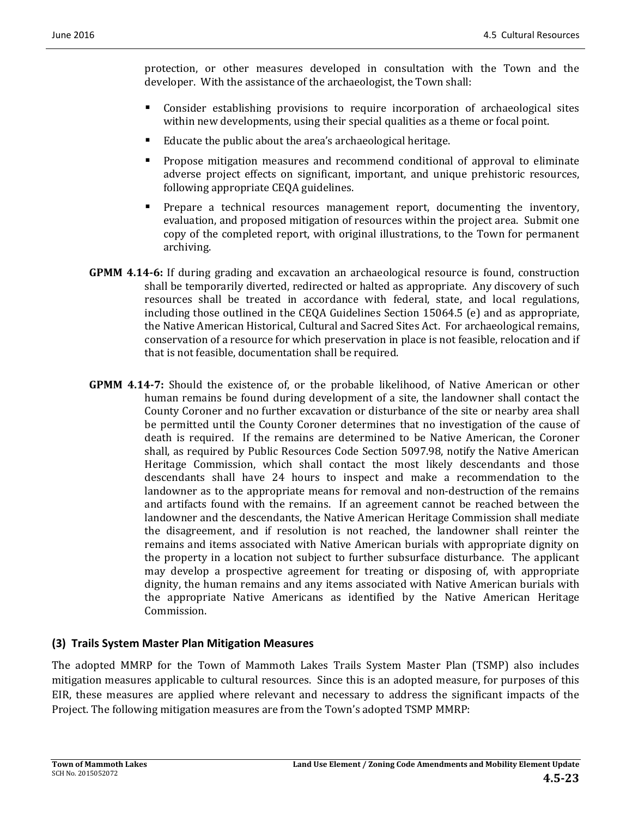protection, or other measures developed in consultation with the Town and the developer. With the assistance of the archaeologist, the Town shall:

- **EX** Consider establishing provisions to require incorporation of archaeological sites within new developments, using their special qualities as a theme or focal point.
- Educate the public about the area's archaeological heritage.
- Propose mitigation measures and recommend conditional of approval to eliminate adverse project effects on significant, important, and unique prehistoric resources, following appropriate CEQA guidelines.
- Prepare a technical resources management report, documenting the inventory, evaluation, and proposed mitigation of resources within the project area. Submit one copy of the completed report, with original illustrations, to the Town for permanent archiving.
- **GPMM 4.14-6:** If during grading and excavation an archaeological resource is found, construction shall be temporarily diverted, redirected or halted as appropriate. Any discovery of such resources shall be treated in accordance with federal, state, and local regulations, including those outlined in the CEQA Guidelines Section 15064.5 (e) and as appropriate, the Native American Historical, Cultural and Sacred Sites Act. For archaeological remains, conservation of a resource for which preservation in place is not feasible, relocation and if that is not feasible, documentation shall be required.
- **GPMM 4.14-7:** Should the existence of, or the probable likelihood, of Native American or other human remains be found during development of a site, the landowner shall contact the County Coroner and no further excavation or disturbance of the site or nearby area shall be permitted until the County Coroner determines that no investigation of the cause of death is required. If the remains are determined to be Native American, the Coroner shall, as required by Public Resources Code Section 5097.98, notify the Native American Heritage Commission, which shall contact the most likely descendants and those descendants shall have 24 hours to inspect and make a recommendation to the landowner as to the appropriate means for removal and non-destruction of the remains and artifacts found with the remains. If an agreement cannot be reached between the landowner and the descendants, the Native American Heritage Commission shall mediate the disagreement, and if resolution is not reached, the landowner shall reinter the remains and items associated with Native American burials with appropriate dignity on the property in a location not subject to further subsurface disturbance. The applicant may develop a prospective agreement for treating or disposing of, with appropriate dignity, the human remains and any items associated with Native American burials with the appropriate Native Americans as identified by the Native American Heritage Commission.

## **(3) Trails System Master Plan Mitigation Measures**

The adopted MMRP for the Town of Mammoth Lakes Trails System Master Plan (TSMP) also includes mitigation measures applicable to cultural resources. Since this is an adopted measure, for purposes of this EIR, these measures are applied where relevant and necessary to address the significant impacts of the Project. The following mitigation measures are from the Town's adopted TSMP MMRP: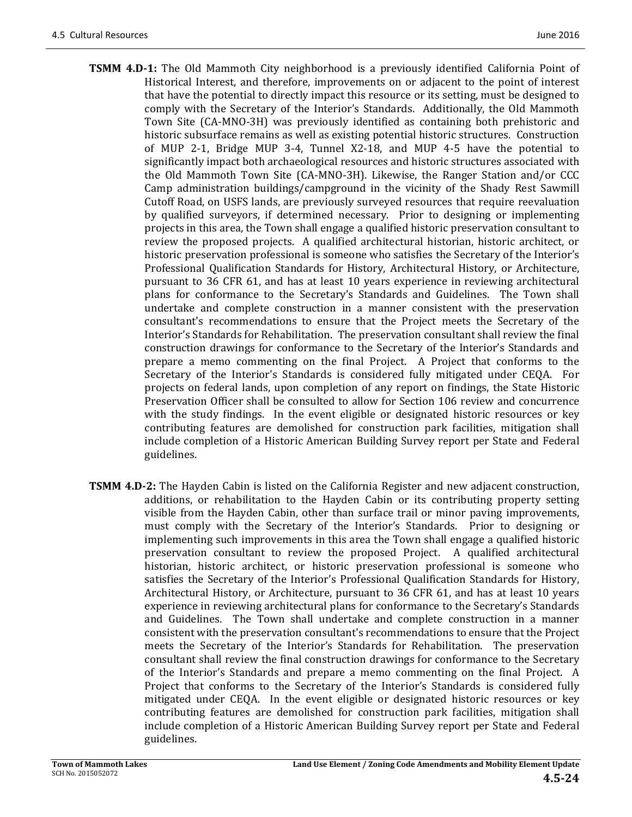- **TSMM 4.D-1:** The Old Mammoth City neighborhood is a previously identified California Point of Historical Interest, and therefore, improvements on or adjacent to the point of interest that have the potential to directly impact this resource or its setting, must be designed to comply with the Secretary of the Interior's Standards. Additionally, the Old Mammoth Town Site (CA-MNO-3H) was previously identified as containing both prehistoric and historic subsurface remains as well as existing potential historic structures. Construction of MUP 2-1, Bridge MUP 3-4, Tunnel X2-18, and MUP 4-5 have the potential to significantly impact both archaeological resources and historic structures associated with the Old Mammoth Town Site  $(CA-MNO-3H)$ . Likewise, the Ranger Station and/or CCC Camp administration buildings/campground in the vicinity of the Shady Rest Sawmill Cutoff Road, on USFS lands, are previously surveyed resources that require reevaluation by qualified surveyors, if determined necessary. Prior to designing or implementing projects in this area, the Town shall engage a qualified historic preservation consultant to review the proposed projects. A qualified architectural historian, historic architect, or historic preservation professional is someone who satisfies the Secretary of the Interior's Professional Qualification Standards for History, Architectural History, or Architecture, pursuant to 36 CFR 61, and has at least 10 years experience in reviewing architectural plans for conformance to the Secretary's Standards and Guidelines. The Town shall undertake and complete construction in a manner consistent with the preservation consultant's recommendations to ensure that the Project meets the Secretary of the Interior's Standards for Rehabilitation. The preservation consultant shall review the final construction drawings for conformance to the Secretary of the Interior's Standards and prepare a memo commenting on the final Project. A Project that conforms to the Secretary of the Interior's Standards is considered fully mitigated under CEQA. For projects on federal lands, upon completion of any report on findings, the State Historic Preservation Officer shall be consulted to allow for Section 106 review and concurrence with the study findings. In the event eligible or designated historic resources or key contributing features are demolished for construction park facilities, mitigation shall include completion of a Historic American Building Survey report per State and Federal guidelines.
- **TSMM 4.D-2:** The Hayden Cabin is listed on the California Register and new adjacent construction, additions, or rehabilitation to the Hayden Cabin or its contributing property setting visible from the Hayden Cabin, other than surface trail or minor paving improvements, must comply with the Secretary of the Interior's Standards. Prior to designing or implementing such improvements in this area the Town shall engage a qualified historic preservation consultant to review the proposed Project. A qualified architectural historian, historic architect, or historic preservation professional is someone who satisfies the Secretary of the Interior's Professional Qualification Standards for History, Architectural History, or Architecture, pursuant to 36 CFR 61, and has at least 10 years experience in reviewing architectural plans for conformance to the Secretary's Standards and Guidelines. The Town shall undertake and complete construction in a manner consistent with the preservation consultant's recommendations to ensure that the Project meets the Secretary of the Interior's Standards for Rehabilitation. The preservation consultant shall review the final construction drawings for conformance to the Secretary of the Interior's Standards and prepare a memo commenting on the final Project. A Project that conforms to the Secretary of the Interior's Standards is considered fully mitigated under CEQA. In the event eligible or designated historic resources or key contributing features are demolished for construction park facilities, mitigation shall include completion of a Historic American Building Survey report per State and Federal guidelines.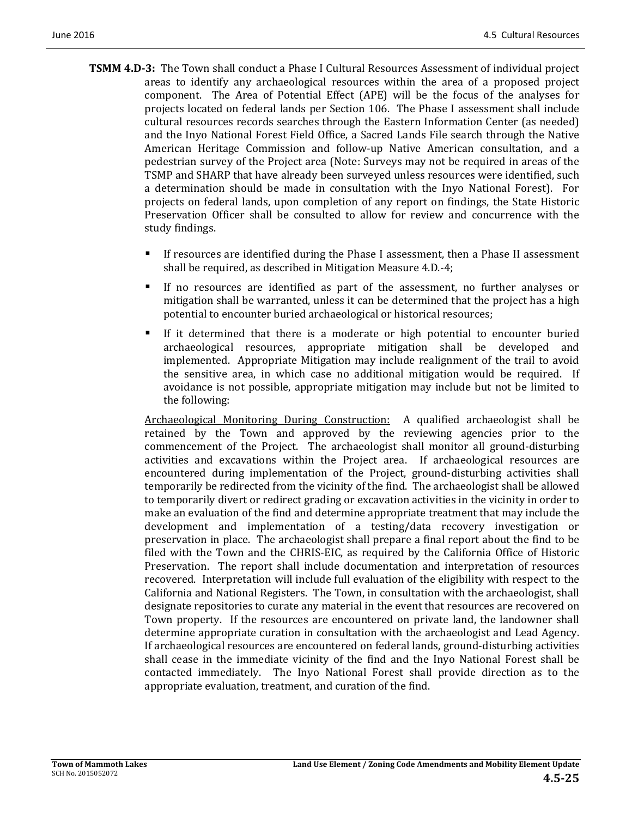- **TSMM 4.D-3:** The Town shall conduct a Phase I Cultural Resources Assessment of individual project areas to identify any archaeological resources within the area of a proposed project component. The Area of Potential Effect (APE) will be the focus of the analyses for projects located on federal lands per Section 106. The Phase I assessment shall include cultural resources records searches through the Eastern Information Center (as needed) and the Inyo National Forest Field Office, a Sacred Lands File search through the Native American Heritage Commission and follow-up Native American consultation, and a pedestrian survey of the Project area (Note: Surveys may not be required in areas of the TSMP and SHARP that have already been surveyed unless resources were identified, such a determination should be made in consultation with the Inyo National Forest). For projects on federal lands, upon completion of any report on findings, the State Historic Preservation Officer shall be consulted to allow for review and concurrence with the study findings.
	- If resources are identified during the Phase I assessment, then a Phase II assessment shall be required, as described in Mitigation Measure 4.D.-4;
	- If no resources are identified as part of the assessment, no further analyses or mitigation shall be warranted, unless it can be determined that the project has a high potential to encounter buried archaeological or historical resources;
	- If it determined that there is a moderate or high potential to encounter buried archaeological resources, appropriate mitigation shall be developed and implemented. Appropriate Mitigation may include realignment of the trail to avoid the sensitive area, in which case no additional mitigation would be required. If avoidance is not possible, appropriate mitigation may include but not be limited to the following:

Archaeological Monitoring During Construction: A qualified archaeologist shall be retained by the Town and approved by the reviewing agencies prior to the commencement of the Project. The archaeologist shall monitor all ground-disturbing activities and excavations within the Project area. If archaeological resources are encountered during implementation of the Project, ground-disturbing activities shall temporarily be redirected from the vicinity of the find. The archaeologist shall be allowed to temporarily divert or redirect grading or excavation activities in the vicinity in order to make an evaluation of the find and determine appropriate treatment that may include the development and implementation of a testing/data recovery investigation or preservation in place. The archaeologist shall prepare a final report about the find to be filed with the Town and the CHRIS-EIC, as required by the California Office of Historic Preservation. The report shall include documentation and interpretation of resources recovered. Interpretation will include full evaluation of the eligibility with respect to the California and National Registers. The Town, in consultation with the archaeologist, shall designate repositories to curate any material in the event that resources are recovered on Town property. If the resources are encountered on private land, the landowner shall determine appropriate curation in consultation with the archaeologist and Lead Agency. If archaeological resources are encountered on federal lands, ground-disturbing activities shall cease in the immediate vicinity of the find and the Inyo National Forest shall be contacted immediately. The Inyo National Forest shall provide direction as to the appropriate evaluation, treatment, and curation of the find.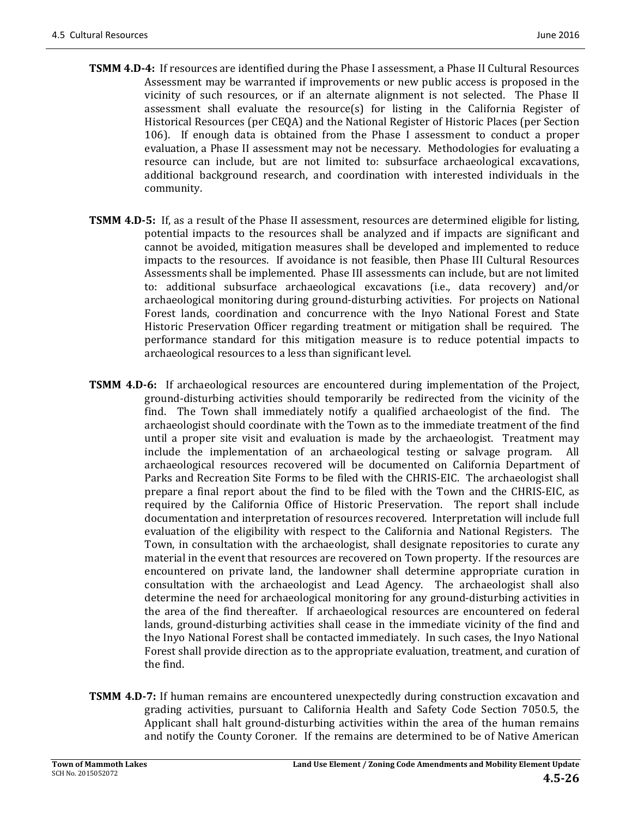- **TSMM 4.D-4:** If resources are identified during the Phase I assessment, a Phase II Cultural Resources Assessment may be warranted if improvements or new public access is proposed in the vicinity of such resources, or if an alternate alignment is not selected. The Phase II assessment shall evaluate the resource(s) for listing in the California Register of Historical Resources (per CEQA) and the National Register of Historic Places (per Section 106). If enough data is obtained from the Phase I assessment to conduct a proper evaluation, a Phase II assessment may not be necessary. Methodologies for evaluating a resource can include, but are not limited to: subsurface archaeological excavations, additional background research, and coordination with interested individuals in the community.
- **TSMM 4.D-5:** If, as a result of the Phase II assessment, resources are determined eligible for listing, potential impacts to the resources shall be analyzed and if impacts are significant and cannot be avoided, mitigation measures shall be developed and implemented to reduce impacts to the resources. If avoidance is not feasible, then Phase III Cultural Resources Assessments shall be implemented. Phase III assessments can include, but are not limited to: additional subsurface archaeological excavations (i.e., data recovery) and/or archaeological monitoring during ground-disturbing activities. For projects on National Forest lands, coordination and concurrence with the Inyo National Forest and State Historic Preservation Officer regarding treatment or mitigation shall be required. The performance standard for this mitigation measure is to reduce potential impacts to archaeological resources to a less than significant level.
- **TSMM 4.D-6:** If archaeological resources are encountered during implementation of the Project, ground-disturbing activities should temporarily be redirected from the vicinity of the find. The Town shall immediately notify a qualified archaeologist of the find. The archaeologist should coordinate with the Town as to the immediate treatment of the find until a proper site visit and evaluation is made by the archaeologist. Treatment may include the implementation of an archaeological testing or salvage program. All archaeological resources recovered will be documented on California Department of Parks and Recreation Site Forms to be filed with the CHRIS-EIC. The archaeologist shall prepare a final report about the find to be filed with the Town and the CHRIS-EIC, as required by the California Office of Historic Preservation. The report shall include documentation and interpretation of resources recovered. Interpretation will include full evaluation of the eligibility with respect to the California and National Registers. The Town, in consultation with the archaeologist, shall designate repositories to curate any material in the event that resources are recovered on Town property. If the resources are encountered on private land, the landowner shall determine appropriate curation in consultation with the archaeologist and Lead Agency. The archaeologist shall also determine the need for archaeological monitoring for any ground-disturbing activities in the area of the find thereafter. If archaeological resources are encountered on federal lands, ground-disturbing activities shall cease in the immediate vicinity of the find and the Inyo National Forest shall be contacted immediately. In such cases, the Inyo National Forest shall provide direction as to the appropriate evaluation, treatment, and curation of the find.
- **TSMM 4.D-7:** If human remains are encountered unexpectedly during construction excavation and grading activities, pursuant to California Health and Safety Code Section 7050.5, the Applicant shall halt ground-disturbing activities within the area of the human remains and notify the County Coroner. If the remains are determined to be of Native American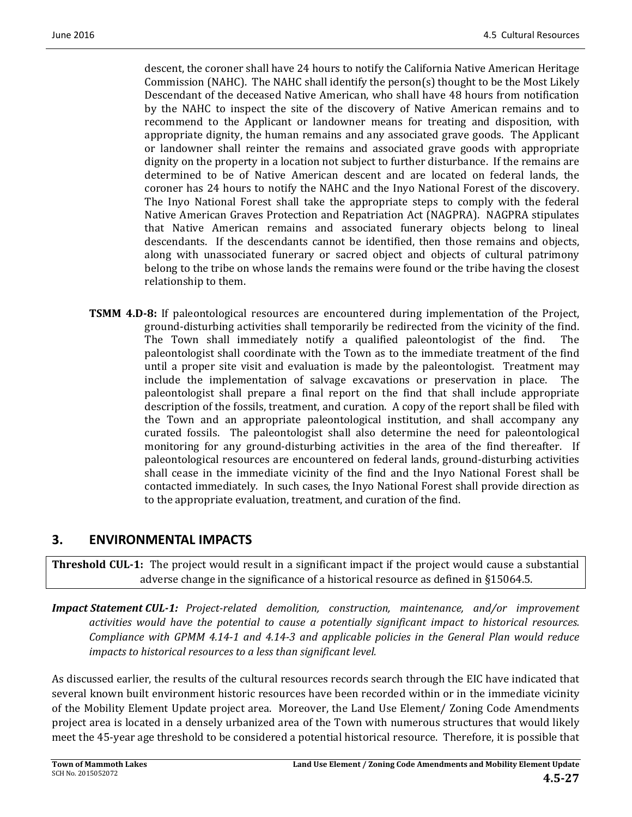descent, the coroner shall have 24 hours to notify the California Native American Heritage Commission (NAHC). The NAHC shall identify the  $person(s)$  thought to be the Most Likely Descendant of the deceased Native American, who shall have 48 hours from notification by the NAHC to inspect the site of the discovery of Native American remains and to recommend to the Applicant or landowner means for treating and disposition, with appropriate dignity, the human remains and any associated grave goods. The Applicant or landowner shall reinter the remains and associated grave goods with appropriate dignity on the property in a location not subject to further disturbance. If the remains are determined to be of Native American descent and are located on federal lands, the coroner has 24 hours to notify the NAHC and the Inyo National Forest of the discovery. The Inyo National Forest shall take the appropriate steps to comply with the federal Native American Graves Protection and Repatriation Act (NAGPRA). NAGPRA stipulates that Native American remains and associated funerary objects belong to lineal descendants. If the descendants cannot be identified, then those remains and objects, along with unassociated funerary or sacred object and objects of cultural patrimony belong to the tribe on whose lands the remains were found or the tribe having the closest relationship to them.

**TSMM 4.D-8:** If paleontological resources are encountered during implementation of the Project, ground-disturbing activities shall temporarily be redirected from the vicinity of the find. The Town shall immediately notify a qualified paleontologist of the find. The paleontologist shall coordinate with the Town as to the immediate treatment of the find until a proper site visit and evaluation is made by the paleontologist. Treatment may include the implementation of salvage excavations or preservation in place. The paleontologist shall prepare a final report on the find that shall include appropriate description of the fossils, treatment, and curation. A copy of the report shall be filed with the Town and an appropriate paleontological institution, and shall accompany any curated fossils. The paleontologist shall also determine the need for paleontological monitoring for any ground-disturbing activities in the area of the find thereafter. If paleontological resources are encountered on federal lands, ground-disturbing activities shall cease in the immediate vicinity of the find and the Inyo National Forest shall be contacted immediately. In such cases, the Inyo National Forest shall provide direction as to the appropriate evaluation, treatment, and curation of the find.

# **3. ENVIRONMENTAL IMPACTS**

**Threshold CUL-1:** The project would result in a significant impact if the project would cause a substantial adverse change in the significance of a historical resource as defined in §15064.5.

*Impact Statement CUL‐1: Project‐related demolition, construction, maintenance, and/or improvement activities would have the potential to cause a potentially significant impact to historical resources.*  Compliance with GPMM 4.14-1 and 4.14-3 and applicable policies in the General Plan would reduce *impacts to historical resources to a less than significant level.* 

As discussed earlier, the results of the cultural resources records search through the EIC have indicated that several known built environment historic resources have been recorded within or in the immediate vicinity of the Mobility Element Update project area. Moreover, the Land Use Element/ Zoning Code Amendments project area is located in a densely urbanized area of the Town with numerous structures that would likely meet the 45-year age threshold to be considered a potential historical resource. Therefore, it is possible that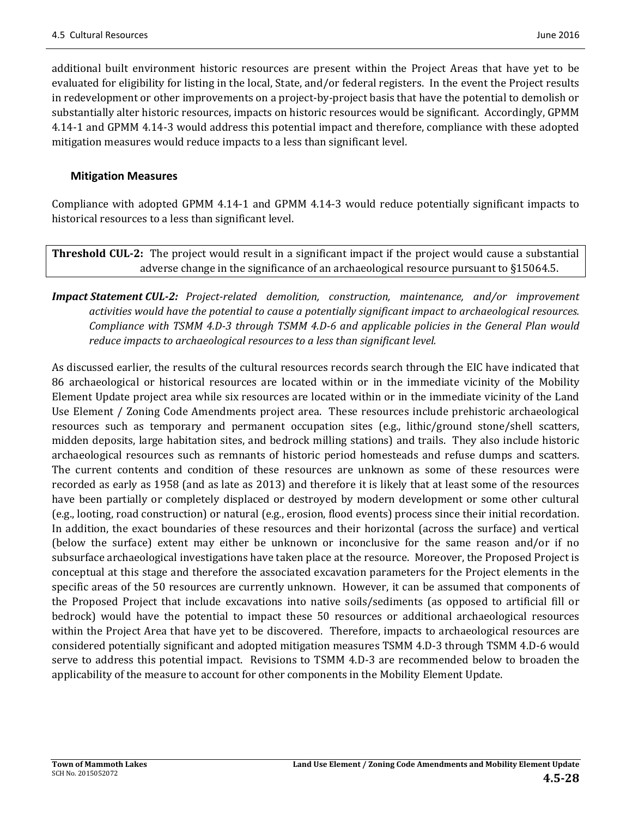additional built environment historic resources are present within the Project Areas that have yet to be evaluated for eligibility for listing in the local, State, and/or federal registers. In the event the Project results in redevelopment or other improvements on a project-by-project basis that have the potential to demolish or substantially alter historic resources, impacts on historic resources would be significant. Accordingly, GPMM 4.14-1 and GPMM 4.14-3 would address this potential impact and therefore, compliance with these adopted mitigation measures would reduce impacts to a less than significant level.

### **Mitigation Measures**

Compliance with adopted GPMM 4.14-1 and GPMM 4.14-3 would reduce potentially significant impacts to historical resources to a less than significant level.

**Threshold CUL-2:** The project would result in a significant impact if the project would cause a substantial adverse change in the significance of an archaeological resource pursuant to  $\S 15064.5$ .

## *Impact Statement CUL‐2: Project‐related demolition, construction, maintenance, and/or improvement activities would have the potential to cause a potentially significant impact to archaeological resources.*  Compliance with TSMM 4.D-3 through TSMM 4.D-6 and applicable policies in the General Plan would *reduce impacts to archaeological resources to a less than significant level.*

As discussed earlier, the results of the cultural resources records search through the EIC have indicated that 86 archaeological or historical resources are located within or in the immediate vicinity of the Mobility Element Update project area while six resources are located within or in the immediate vicinity of the Land Use Element / Zoning Code Amendments project area. These resources include prehistoric archaeological resources such as temporary and permanent occupation sites  $(e.g.,\$  lithic/ground stone/shell scatters, midden deposits, large habitation sites, and bedrock milling stations) and trails. They also include historic archaeological resources such as remnants of historic period homesteads and refuse dumps and scatters. The current contents and condition of these resources are unknown as some of these resources were recorded as early as 1958 (and as late as 2013) and therefore it is likely that at least some of the resources have been partially or completely displaced or destroyed by modern development or some other cultural (e.g., looting, road construction) or natural (e.g., erosion, flood events) process since their initial recordation. In addition, the exact boundaries of these resources and their horizontal (across the surface) and vertical (below the surface) extent may either be unknown or inconclusive for the same reason and/or if no subsurface archaeological investigations have taken place at the resource. Moreover, the Proposed Project is conceptual at this stage and therefore the associated excavation parameters for the Project elements in the specific areas of the 50 resources are currently unknown. However, it can be assumed that components of the Proposed Project that include excavations into native soils/sediments (as opposed to artificial fill or bedrock) would have the potential to impact these 50 resources or additional archaeological resources within the Project Area that have yet to be discovered. Therefore, impacts to archaeological resources are considered potentially significant and adopted mitigation measures TSMM 4.D-3 through TSMM 4.D-6 would serve to address this potential impact. Revisions to TSMM 4.D-3 are recommended below to broaden the applicability of the measure to account for other components in the Mobility Element Update.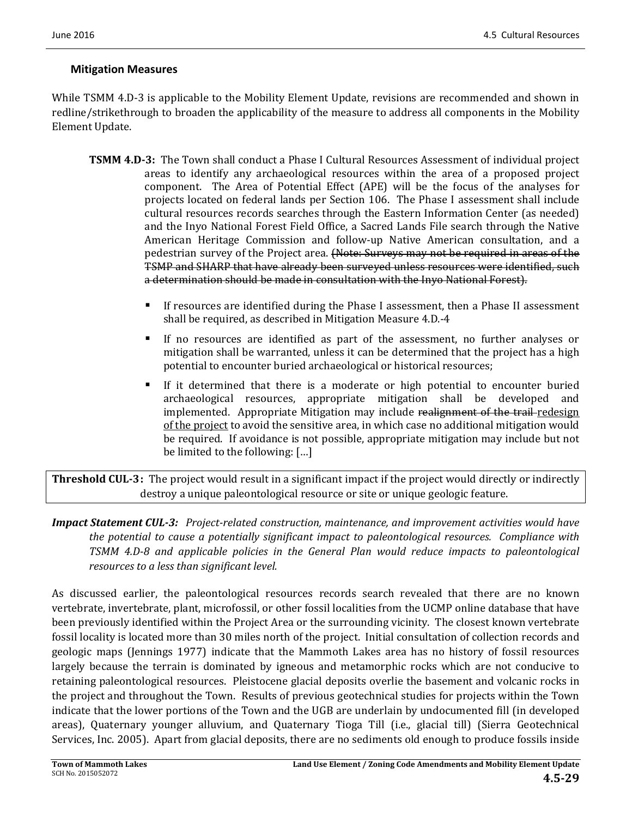### **Mitigation Measures**

While TSMM 4.D-3 is applicable to the Mobility Element Update, revisions are recommended and shown in redline/strikethrough to broaden the applicability of the measure to address all components in the Mobility Element Update.

- **TSMM 4.D-3:** The Town shall conduct a Phase I Cultural Resources Assessment of individual project areas to identify any archaeological resources within the area of a proposed project component. The Area of Potential Effect (APE) will be the focus of the analyses for projects located on federal lands per Section 106. The Phase I assessment shall include cultural resources records searches through the Eastern Information Center (as needed) and the Inyo National Forest Field Office, a Sacred Lands File search through the Native American Heritage Commission and follow-up Native American consultation, and a pedestrian survey of the Project area. (Note: Surveys may not be required in areas of the TSMP and SHARP that have already been surveyed unless resources were identified, such a determination should be made in consultation with the Inyo National Forest).
	- If resources are identified during the Phase I assessment, then a Phase II assessment shall be required, as described in Mitigation Measure 4.D.-4
	- If no resources are identified as part of the assessment, no further analyses or mitigation shall be warranted, unless it can be determined that the project has a high potential to encounter buried archaeological or historical resources;
	- If it determined that there is a moderate or high potential to encounter buried archaeological resources, appropriate mitigation shall be developed and implemented. Appropriate Mitigation may include realignment of the trail-redesign of the project to avoid the sensitive area, in which case no additional mitigation would be required. If avoidance is not possible, appropriate mitigation may include but not be limited to the following:  $[...]$

**Threshold CUL-3:** The project would result in a significant impact if the project would directly or indirectly destroy a unique paleontological resource or site or unique geologic feature.

*Impact Statement CUL‐3: Project‐related construction, maintenance, and improvement activities would have the potential to cause a potentially significant impact to paleontological resources. Compliance with TSMM 4.D‐8 and applicable policies in the General Plan would reduce impacts to paleontological resources to a less than significant level.*

As discussed earlier, the paleontological resources records search revealed that there are no known vertebrate, invertebrate, plant, microfossil, or other fossil localities from the UCMP online database that have been previously identified within the Project Area or the surrounding vicinity. The closest known vertebrate fossil locality is located more than 30 miles north of the project. Initial consultation of collection records and geologic maps (Jennings 1977) indicate that the Mammoth Lakes area has no history of fossil resources largely because the terrain is dominated by igneous and metamorphic rocks which are not conducive to retaining paleontological resources. Pleistocene glacial deposits overlie the basement and volcanic rocks in the project and throughout the Town. Results of previous geotechnical studies for projects within the Town indicate that the lower portions of the Town and the UGB are underlain by undocumented fill (in developed areas), Quaternary younger alluvium, and Quaternary Tioga Till (i.e., glacial till) (Sierra Geotechnical Services, Inc. 2005). Apart from glacial deposits, there are no sediments old enough to produce fossils inside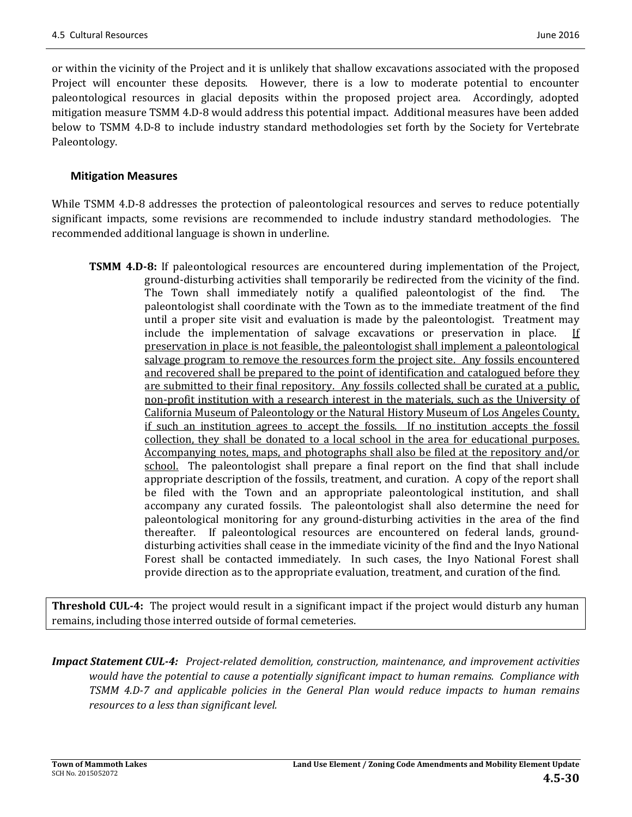or within the vicinity of the Project and it is unlikely that shallow excavations associated with the proposed Project will encounter these deposits. However, there is a low to moderate potential to encounter paleontological resources in glacial deposits within the proposed project area. Accordingly, adopted mitigation measure TSMM 4.D-8 would address this potential impact. Additional measures have been added below to TSMM 4.D-8 to include industry standard methodologies set forth by the Society for Vertebrate Paleontology. 

### **Mitigation Measures**

While TSMM 4.D-8 addresses the protection of paleontological resources and serves to reduce potentially significant impacts, some revisions are recommended to include industry standard methodologies. The recommended additional language is shown in underline.

**TSMM 4.D-8:** If paleontological resources are encountered during implementation of the Project, ground-disturbing activities shall temporarily be redirected from the vicinity of the find. The Town shall immediately notify a qualified paleontologist of the find. The paleontologist shall coordinate with the Town as to the immediate treatment of the find until a proper site visit and evaluation is made by the paleontologist. Treatment may include the implementation of salvage excavations or preservation in place. If preservation in place is not feasible, the paleontologist shall implement a paleontological salvage program to remove the resources form the project site. Any fossils encountered and recovered shall be prepared to the point of identification and catalogued before they are submitted to their final repository. Any fossils collected shall be curated at a public, non-profit institution with a research interest in the materials, such as the University of California Museum of Paleontology or the Natural History Museum of Los Angeles County. if such an institution agrees to accept the fossils. If no institution accepts the fossil collection, they shall be donated to a local school in the area for educational purposes. Accompanying notes, maps, and photographs shall also be filed at the repository and/or school. The paleontologist shall prepare a final report on the find that shall include appropriate description of the fossils, treatment, and curation. A copy of the report shall be filed with the Town and an appropriate paleontological institution, and shall accompany any curated fossils. The paleontologist shall also determine the need for paleontological monitoring for any ground-disturbing activities in the area of the find thereafter. If paleontological resources are encountered on federal lands, grounddisturbing activities shall cease in the immediate vicinity of the find and the Inyo National Forest shall be contacted immediately. In such cases, the Inyo National Forest shall provide direction as to the appropriate evaluation, treatment, and curation of the find.

**Threshold CUL-4:** The project would result in a significant impact if the project would disturb any human remains, including those interred outside of formal cemeteries.

*Impact Statement CUL‐4: Project‐related demolition, construction, maintenance, and improvement activities would have the potential to cause a potentially significant impact to human remains. Compliance with TSMM 4.D‐7 and applicable policies in the General Plan would reduce impacts to human remains resources to a less than significant level.*